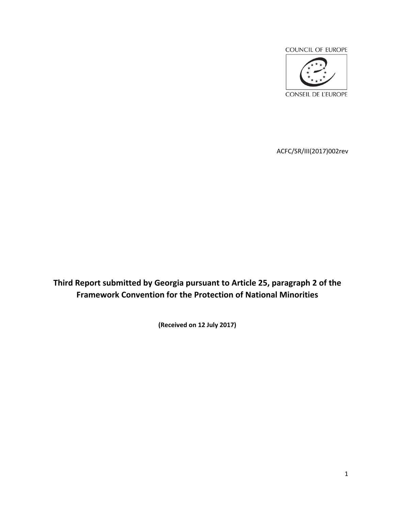

ACFC/SR/III(2017)002rev

**Third Report submitted by Georgia pursuant to Article 25, paragraph 2 of the Framework Convention for the Protection of National Minorities** 

**(Received on 12 July 2017)**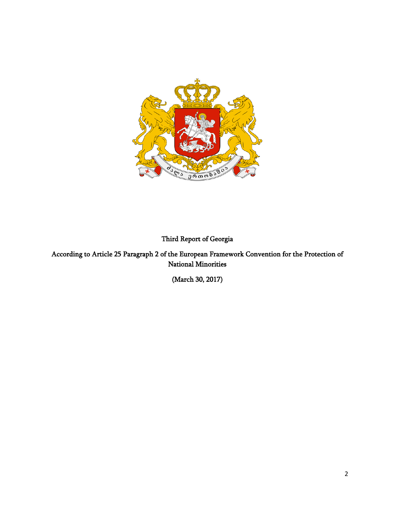

**Third Report of Georgia**

**According to Article 25 Paragraph 2 of the European Framework Convention for the Protection of National Minorities**

**(March 30, 2017)**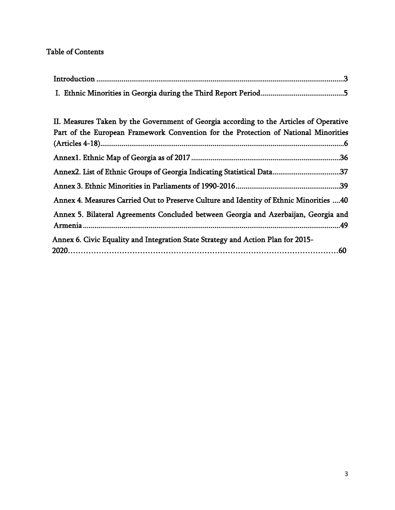# **Table of Contents**

<span id="page-2-0"></span>

| II. Measures Taken by the Government of Georgia according to the Articles of Operative<br>Part of the European Framework Convention for the Protection of National Minorities |  |
|-------------------------------------------------------------------------------------------------------------------------------------------------------------------------------|--|
|                                                                                                                                                                               |  |
|                                                                                                                                                                               |  |
| Annex2. List of Ethnic Groups of Georgia Indicating Statistical Data37                                                                                                        |  |
|                                                                                                                                                                               |  |
| Annex 4. Measures Carried Out to Preserve Culture and Identity of Ethnic Minorities 40                                                                                        |  |
| Annex 5. Bilateral Agreements Concluded between Georgia and Azerbaijan, Georgia and                                                                                           |  |
| Annex 6. Civic Equality and Integration State Strategy and Action Plan for 2015-                                                                                              |  |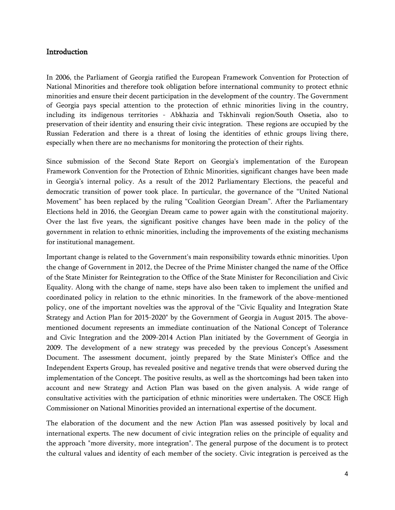### **Introduction**

In 2006, the Parliament of Georgia ratified the European Framework Convention for Protection of National Minorities and therefore took obligation before international community to protect ethnic minorities and ensure their decent participation in the development of the country. The Government of Georgia pays special attention to the protection of ethnic minorities living in the country, including its indigenous territories - Abkhazia and Tskhinvali region/South Ossetia, also to preservation of their identity and ensuring their civic integration. These regions are occupied by the Russian Federation and there is a threat of losing the identities of ethnic groups living there, especially when there are no mechanisms for monitoring the protection of their rights.

Since submission of the Second State Report on Georgia's implementation of the European Framework Convention for the Protection of Ethnic Minorities, significant changes have been made in Georgia's internal policy. As a result of the 2012 Parliamentary Elections, the peaceful and democratic transition of power took place. In particular, the governance of the "United National Movement" has been replaced by the ruling "Coalition Georgian Dream". After the Parliamentary Elections held in 2016, the Georgian Dream came to power again with the constitutional majority. Over the last five years, the significant positive changes have been made in the policy of the government in relation to ethnic minorities, including the improvements of the existing mechanisms for institutional management.

Important change is related to the Government's main responsibility towards ethnic minorities. Upon the change of Government in 2012, the Decree of the Prime Minister changed the name of the Office of the State Minister for Reintegration to the Office of the State Minister for Reconciliation and Civic Equality. Along with the change of name, steps have also been taken to implement the unified and coordinated policy in relation to the ethnic minorities. In the framework of the above-mentioned policy, one of the important novelties was the approval of the "Civic Equality and Integration State Strategy and Action Plan for 2015-2020" by the Government of Georgia in August 2015. The abovementioned document represents an immediate continuation of the National Concept of Tolerance and Civic Integration and the 2009-2014 Action Plan initiated by the Government of Georgia in 2009. The development of a new strategy was preceded by the previous Concept's Assessment Document. The assessment document, jointly prepared by the State Minister's Office and the Independent Experts Group, has revealed positive and negative trends that were observed during the implementation of the Concept. The positive results, as well as the shortcomings had been taken into account and new Strategy and Action Plan was based on the given analysis. A wide range of consultative activities with the participation of ethnic minorities were undertaken. The OSCE High Commissioner on National Minorities provided an international expertise of the document.

The elaboration of the document and the new Action Plan was assessed positively by local and international experts. The new document of civic integration relies on the principle of equality and the approach "more diversity, more integration". The general purpose of the document is to protect the cultural values and identity of each member of the society. Civic integration is perceived as the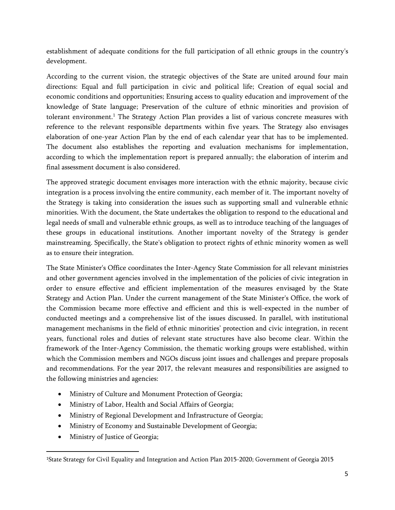establishment of adequate conditions for the full participation of all ethnic groups in the country's development.

According to the current vision, the strategic objectives of the State are united around four main directions: Equal and full participation in civic and political life; Creation of equal social and economic conditions and opportunities; Ensuring access to quality education and improvement of the knowledge of State language; Preservation of the culture of ethnic minorities and provision of tolerant environment.<sup>1</sup> The Strategy Action Plan provides a list of various concrete measures with reference to the relevant responsible departments within five years. The Strategy also envisages elaboration of one-year Action Plan by the end of each calendar year that has to be implemented. The document also establishes the reporting and evaluation mechanisms for implementation, according to which the implementation report is prepared annually; the elaboration of interim and final assessment document is also considered.

The approved strategic document envisages more interaction with the ethnic majority, because civic integration is a process involving the entire community, each member of it. The important novelty of the Strategy is taking into consideration the issues such as supporting small and vulnerable ethnic minorities. With the document, the State undertakes the obligation to respond to the educational and legal needs of small and vulnerable ethnic groups, as well as to introduce teaching of the languages of these groups in educational institutions. Another important novelty of the Strategy is gender mainstreaming. Specifically, the State's obligation to protect rights of ethnic minority women as well as to ensure their integration.

The State Minister's Office coordinates the Inter-Agency State Commission for all relevant ministries and other government agencies involved in the implementation of the policies of civic integration in order to ensure effective and efficient implementation of the measures envisaged by the State Strategy and Action Plan. Under the current management of the State Minister's Office, the work of the Commission became more effective and efficient and this is well-expected in the number of conducted meetings and a comprehensive list of the issues discussed. In parallel, with institutional management mechanisms in the field of ethnic minorities' protection and civic integration, in recent years, functional roles and duties of relevant state structures have also become clear. Within the framework of the Inter-Agency Commission, the thematic working groups were established, within which the Commission members and NGOs discuss joint issues and challenges and prepare proposals and recommendations. For the year 2017, the relevant measures and responsibilities are assigned to the following ministries and agencies:

- Ministry of Culture and Monument Protection of Georgia;
- Ministry of Labor, Health and Social Affairs of Georgia;
- Ministry of Regional Development and Infrastructure of Georgia;
- Ministry of Economy and Sustainable Development of Georgia;
- Ministry of Justice of Georgia;

<sup>1</sup>State Strategy for Civil Equality and Integration and Action Plan 2015-2020; Government of Georgia 2015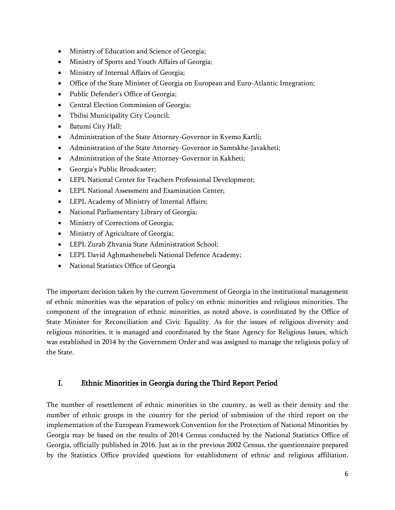- Ministry of Education and Science of Georgia;
- Ministry of Sports and Youth Affairs of Georgia;
- Ministry of Internal Affairs of Georgia;
- Office of the State Minister of Georgia on European and Euro-Atlantic Integration;
- Public Defender's Office of Georgia;
- Central Election Commission of Georgia;
- Tbilisi Municipality City Council;
- Batumi City Hall;
- Administration of the State Attorney-Governor in Kvemo Kartli;
- Administration of the State Attorney-Governor in Samtskhe-Javakheti;
- Administration of the State Attorney-Governor in Kakheti;
- Georgia's Public Broadcaster;
- LEPL National Center for Teachers Professional Development;
- LEPL National Assessment and Examination Center;
- LEPL Academy of Ministry of Internal Affairs;
- National Parliamentary Library of Georgia;
- Ministry of Corrections of Georgia;
- Ministry of Agriculture of Georgia;
- LEPL Zurab Zhvania State Administration School;
- LEPL David Aghmashenebeli National Defence Academy;
- National Statistics Office of Georgia

The important decision taken by the current Government of Georgia in the institutional management of ethnic minorities was the separation of policy on ethnic minorities and religious minorities. The component of the integration of ethnic minorities, as noted above, is coordinated by the Office of State Minister for Reconciliation and Civic Equality. As for the issues of religious diversity and religious minorities, it is managed and coordinated by the State Agency for Religious Issues, which was established in 2014 by the Government Order and was assigned to manage the religious policy of the State.

# <span id="page-5-0"></span>**I. Ethnic Minorities in Georgia during the Third Report Period**

The number of resettlement of ethnic minorities in the country, as well as their density and the number of ethnic groups in the country for the period of submission of the third report on the implementation of the European Framework Convention for the Protection of National Minorities by Georgia may be based on the results of 2014 Census conducted by the National Statistics Office of Georgia, officially published in 2016. Just as in the previous 2002 Census, the questionnaire prepared by the Statistics Office provided questions for establishment of ethnic and religious affiliation.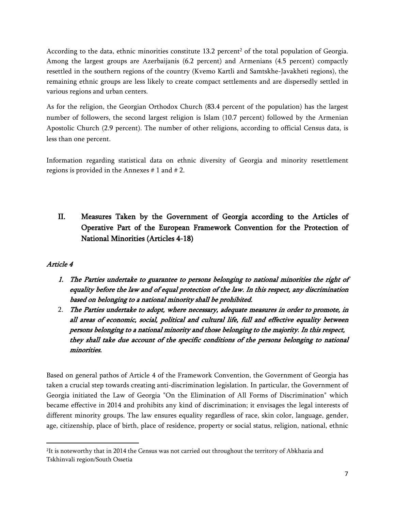According to the data, ethnic minorities constitute 13.2 percent<sup>2</sup> of the total population of Georgia. Among the largest groups are Azerbaijanis (6.2 percent) and Armenians (4.5 percent) compactly resettled in the southern regions of the country (Kvemo Kartli and Samtskhe-Javakheti regions), the remaining ethnic groups are less likely to create compact settlements and are dispersedly settled in various regions and urban centers.

As for the religion, the Georgian Orthodox Church (83.4 percent of the population) has the largest number of followers, the second largest religion is Islam (10.7 percent) followed by the Armenian Apostolic Church (2.9 percent). The number of other religions, according to official Census data, is less than one percent.

Information regarding statistical data on ethnic diversity of Georgia and minority resettlement regions is provided in the Annexes # 1 and # 2.

# <span id="page-6-0"></span>**II. Measures Taken by the Government of Georgia according to the Articles of Operative Part of the European Framework Convention for the Protection of National Minorities (Articles 4-18)**

# *Article 4*

- *1. The Parties undertake to guarantee to persons belonging to national minorities the right of equality before the law and of equal protection of the law. In this respect, any discrimination based on belonging to a national minority shall be prohibited.*
- 2. *The Parties undertake to adopt, where necessary, adequate measures in order to promote, in all areas of economic, social, political and cultural life, full and effective equality between persons belonging to a national minority and those belonging to the majority. In this respect, they shall take due account of the specific conditions of the persons belonging to national minorities.*

Based on general pathos of Article 4 of the Framework Convention, the Government of Georgia has taken a crucial step towards creating anti-discrimination legislation. In particular, the Government of Georgia initiated the Law of Georgia "On the Elimination of All Forms of Discrimination" which became effective in 2014 and prohibits any kind of discrimination; it envisages the legal interests of different minority groups. The law ensures equality regardless of race, skin color, language, gender, age, citizenship, place of birth, place of residence, property or social status, religion, national, ethnic

<sup>2</sup> It is noteworthy that in 2014 the Census was not carried out throughout the territory of Abkhazia and Tskhinvali region/South Ossetia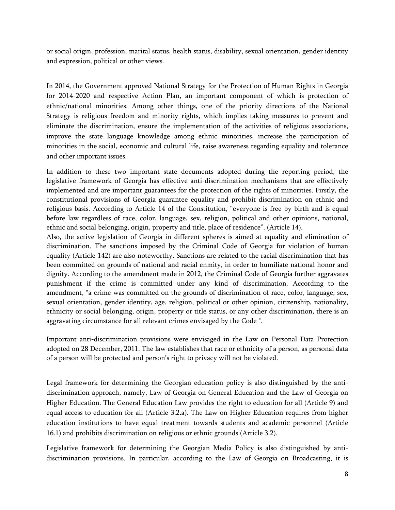or social origin, profession, marital status, health status, disability, sexual orientation, gender identity and expression, political or other views.

In 2014, the Government approved National Strategy for the Protection of Human Rights in Georgia for 2014-2020 and respective Action Plan, an important component of which is protection of ethnic/national minorities. Among other things, one of the priority directions of the National Strategy is religious freedom and minority rights, which implies taking measures to prevent and eliminate the discrimination, ensure the implementation of the activities of religious associations, improve the state language knowledge among ethnic minorities, increase the participation of minorities in the social, economic and cultural life, raise awareness regarding equality and tolerance and other important issues.

In addition to these two important state documents adopted during the reporting period, the legislative framework of Georgia has effective anti-discrimination mechanisms that are effectively implemented and are important guarantees for the protection of the rights of minorities. Firstly, the constitutional provisions of Georgia guarantee equality and prohibit discrimination on ethnic and religious basis. According to Article 14 of the Constitution, "everyone is free by birth and is equal before law regardless of race, color, language, sex, religion, political and other opinions, national, ethnic and social belonging, origin, property and title, place of residence". (Article 14).

Also, the active legislation of Georgia in different spheres is aimed at equality and elimination of discrimination. The sanctions imposed by the Criminal Code of Georgia for violation of human equality (Article 142) are also noteworthy. Sanctions are related to the racial discrimination that has been committed on grounds of national and racial enmity, in order to humiliate national honor and dignity. According to the amendment made in 2012, the Criminal Code of Georgia further aggravates punishment if the crime is committed under any kind of discrimination. According to the amendment, "a crime was committed on the grounds of discrimination of race, color, language, sex, sexual orientation, gender identity, age, religion, political or other opinion, citizenship, nationality, ethnicity or social belonging, origin, property or title status, or any other discrimination, there is an aggravating circumstance for all relevant crimes envisaged by the Code ".

Important anti-discrimination provisions were envisaged in the Law on Personal Data Protection adopted on 28 December, 2011. The law establishes that race or ethnicity of a person, as personal data of a person will be protected and person's right to privacy will not be violated.

Legal framework for determining the Georgian education policy is also distinguished by the antidiscrimination approach, namely, Law of Georgia on General Education and the Law of Georgia on Higher Education. The General Education Law provides the right to education for all (Article 9) and equal access to education for all (Article 3.2.a). The Law on Higher Education requires from higher education institutions to have equal treatment towards students and academic personnel (Article 16.1) and prohibits discrimination on religious or ethnic grounds (Article 3.2).

Legislative framework for determining the Georgian Media Policy is also distinguished by antidiscrimination provisions. In particular, according to the Law of Georgia on Broadcasting, it is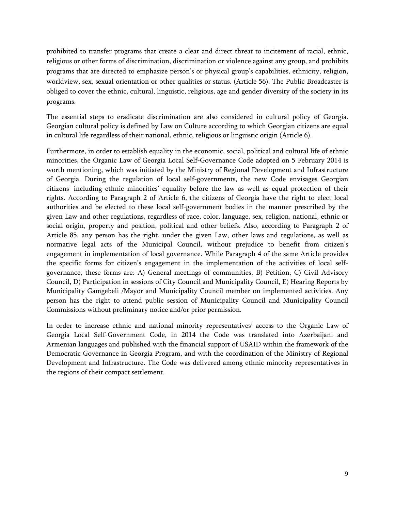prohibited to transfer programs that create a clear and direct threat to incitement of racial, ethnic, religious or other forms of discrimination, discrimination or violence against any group, and prohibits programs that are directed to emphasize person's or physical group's capabilities, ethnicity, religion, worldview, sex, sexual orientation or other qualities or status. (Article 56). The Public Broadcaster is obliged to cover the ethnic, cultural, linguistic, religious, age and gender diversity of the society in its programs.

The essential steps to eradicate discrimination are also considered in cultural policy of Georgia. Georgian cultural policy is defined by Law on Culture according to which Georgian citizens are equal in cultural life regardless of their national, ethnic, religious or linguistic origin (Article 6).

Furthermore, in order to establish equality in the economic, social, political and cultural life of ethnic minorities, the Organic Law of Georgia Local Self-Governance Code adopted on 5 February 2014 is worth mentioning, which was initiated by the Ministry of Regional Development and Infrastructure of Georgia. During the regulation of local self-governments, the new Code envisages Georgian citizens' including ethnic minorities' equality before the law as well as equal protection of their rights. According to Paragraph 2 of Article 6, the citizens of Georgia have the right to elect local authorities and be elected to these local self-government bodies in the manner prescribed by the given Law and other regulations, regardless of race, color, language, sex, religion, national, ethnic or social origin, property and position, political and other beliefs. Also, according to Paragraph 2 of Article 85, any person has the right, under the given Law, other laws and regulations, as well as normative legal acts of the Municipal Council, without prejudice to benefit from citizen's engagement in implementation of local governance. While Paragraph 4 of the same Article provides the specific forms for citizen's engagement in the implementation of the activities of local selfgovernance, these forms are: A) General meetings of communities, B) Petition, C) Civil Advisory Council, D) Participation in sessions of City Council and Municipality Council, E) Hearing Reports by Municipality Gamgebeli /Mayor and Municipality Council member on implemented activities. Any person has the right to attend public session of Municipality Council and Municipality Council Commissions without preliminary notice and/or prior permission.

In order to increase ethnic and national minority representatives' access to the Organic Law of Georgia Local Self-Government Code, in 2014 the Code was translated into Azerbaijani and Armenian languages and published with the financial support of USAID within the framework of the Democratic Governance in Georgia Program, and with the coordination of the Ministry of Regional Development and Infrastructure. The Code was delivered among ethnic minority representatives in the regions of their compact settlement.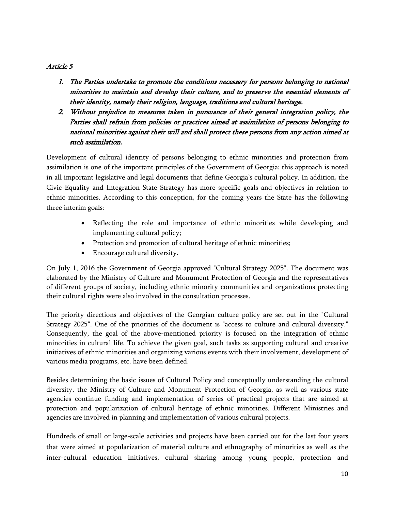### *Article 5*

- *1. The Parties undertake to promote the conditions necessary for persons belonging to national minorities to maintain and develop their culture, and to preserve the essential elements of their identity, namely their religion, language, traditions and cultural heritage.*
- *2. Without prejudice to measures taken in pursuance of their general integration policy, the Parties shall refrain from policies or practices aimed at assimilation of persons belonging to national minorities against their will and shall protect these persons from any action aimed at such assimilation.*

Development of cultural identity of persons belonging to ethnic minorities and protection from assimilation is one of the important principles of the Government of Georgia; this approach is noted in all important legislative and legal documents that define Georgia's cultural policy. In addition, the Civic Equality and Integration State Strategy has more specific goals and objectives in relation to ethnic minorities. According to this conception, for the coming years the State has the following three interim goals:

- Reflecting the role and importance of ethnic minorities while developing and implementing cultural policy;
- Protection and promotion of cultural heritage of ethnic minorities;
- Encourage cultural diversity.

On July 1, 2016 the Government of Georgia approved "Cultural Strategy 2025". The document was elaborated by the Ministry of Culture and Monument Protection of Georgia and the representatives of different groups of society, including ethnic minority communities and organizations protecting their cultural rights were also involved in the consultation processes.

The priority directions and objectives of the Georgian culture policy are set out in the "Cultural Strategy 2025". One of the priorities of the document is "access to culture and cultural diversity." Consequently, the goal of the above-mentioned priority is focused on the integration of ethnic minorities in cultural life. To achieve the given goal, such tasks as supporting cultural and creative initiatives of ethnic minorities and organizing various events with their involvement, development of various media programs, etc. have been defined.

Besides determining the basic issues of Cultural Policy and conceptually understanding the cultural diversity, the Ministry of Culture and Monument Protection of Georgia, as well as various state agencies continue funding and implementation of series of practical projects that are aimed at protection and popularization of cultural heritage of ethnic minorities. Different Ministries and agencies are involved in planning and implementation of various cultural projects.

Hundreds of small or large-scale activities and projects have been carried out for the last four years that were aimed at popularization of material culture and ethnography of minorities as well as the inter-cultural education initiatives, cultural sharing among young people, protection and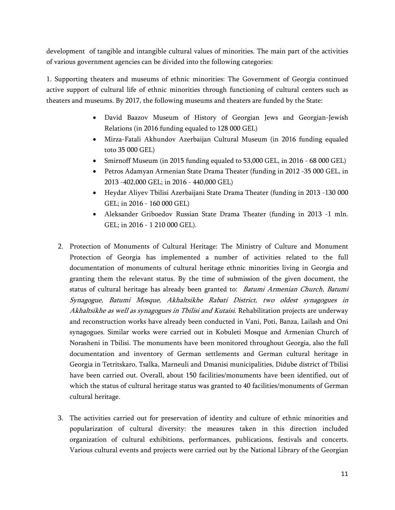development of tangible and intangible cultural values of minorities. The main part of the activities of various government agencies can be divided into the following categories:

1. Supporting theaters and museums of ethnic minorities:The Government of Georgia continued active support of cultural life of ethnic minorities through functioning of cultural centers such as theaters and museums. By 2017, the following museums and theaters are funded by the State:

- David Baazov Museum of History of Georgian Jews and Georgian-Jewish Relations (in 2016 funding equaled to 128 000 GEL)
- Mirza-Fatali Akhundov Azerbaijan Cultural Museum (in 2016 funding equaled toto 35 000 GEL)
- Smirnoff Museum (in 2015 funding equaled to 53,000 GEL, in 2016 68 000 GEL)
- Petros Adamyan Armenian State Drama Theater (funding in 2012 -35 000 GEL, in 2013 -402,000 GEL; in 2016 - 440,000 GEL)
- Heydar Aliyev Tbilisi Azerbaijani State Drama Theater (funding in 2013 -130 000 GEL; in 2016 - 160 000 GEL)
- Aleksander Griboedov Russian State Drama Theater (funding in 2013 -1 mln. GEL; in 2016 - 1 210 000 GEL).
- 2. Protection of Monuments of Cultural Heritage:The Ministry of Culture and Monument Protection of Georgia has implemented a number of activities related to the full documentation of monuments of cultural heritage ethnic minorities living in Georgia and granting them the relevant status. By the time of submission of the given document, the status of cultural heritage has already been granted to: *Batumi Armenian Church, Batumi Synagogue, Batumi Mosque, Akhaltsikhe Rabati District, two oldest synagogues in Akhaltsikhe as well as synagogues in Tbilisi and Kutaisi*. Rehabilitation projects are underway and reconstruction works have already been conducted in Vani, Poti, Banza, Lailash and Oni synagogues. Similar works were carried out in Kobuleti Mosque and Armenian Church of Norasheni in Tbilisi. The monuments have been monitored throughout Georgia, also the full documentation and inventory of German settlements and German cultural heritage in Georgia in Tetritskaro, Tsalka, Marneuli and Dmanisi municipalities, Didube district of Tbilisi have been carried out. Overall, about 150 facilities/monuments have been identified, out of which the status of cultural heritage status was granted to 40 facilities/monuments of German cultural heritage.
- 3. The activities carried out for preservation of identity and culture of ethnic minorities and popularization of cultural diversity:the measures taken in this direction included organization of cultural exhibitions, performances, publications, festivals and concerts. Various cultural events and projects were carried out by the National Library of the Georgian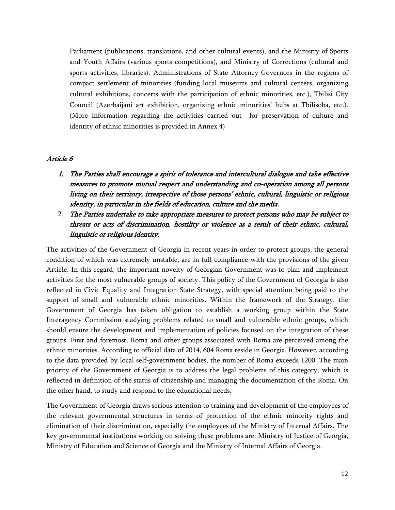Parliament (publications, translations, and other cultural events), and the Ministry of Sports and Youth Affairs (various sports competitions), and Ministry of Corrections (cultural and sports activities, libraries), Administrations of State Attorney-Governors in the regions of compact settlement of minorities (funding local museums and cultural centers, organizing cultural exhibitions, concerts with the participation of ethnic minorities, etc.), Tbilisi City Council (Azerbaijani art exhibition, organizing ethnic minorities' hubs at Tbilisoba, etc.). (More information regarding the activities carried out for preservation of culture and identity of ethnic minorities is provided in Annex 4)

#### *Article 6*

- *1. The Parties shall encourage a spirit of tolerance and intercultural dialogue and take effective measures to promote mutual respect and understanding and co-operation among all persons living on their territory, irrespective of those persons' ethnic, cultural, linguistic or religious identity, in particular in the fields of education, culture and the media.*
- 2. *The Parties undertake to take appropriate measures to protect persons who may be subject to threats or acts of discrimination, hostility or violence as a result of their ethnic, cultural, linguistic or religious identity.*

The activities of the Government of Georgia in recent years in order to protect groups, the general condition of which was extremely unstable, are in full compliance with the provisions of the given Article. In this regard, the important novelty of Georgian Government was to plan and implement activities for the most vulnerable groups of society. This policy of the Government of Georgia is also reflected in Civic Equality and Integration State Strategy, with special attention being paid to the support of small and vulnerable ethnic minorities. Within the framework of the Strategy, the Government of Georgia has taken obligation to establish a working group within the State Interagency Commission studying problems related to small and vulnerable ethnic groups, which should ensure the development and implementation of policies focused on the integration of these groups. First and foremost, Roma and other groups associated with Roma are perceived among the ethnic minorities. According to official data of 2014, 604 Roma reside in Georgia. However, according to the data provided by local self-government bodies, the number of Roma exceeds 1200. The main priority of the Government of Georgia is to address the legal problems of this category, which is reflected in definition of the status of citizenship and managing the documentation of the Roma. On the other hand, to study and respond to the educational needs.

The Government of Georgia draws serious attention to training and development of the employees of the relevant governmental structures in terms of protection of the ethnic minority rights and elimination of their discrimination, especially the employees of the Ministry of Internal Affairs. The key governmental institutions working on solving these problems are: Ministry of Justice of Georgia, Ministry of Education and Science of Georgia and the Ministry of Internal Affairs of Georgia.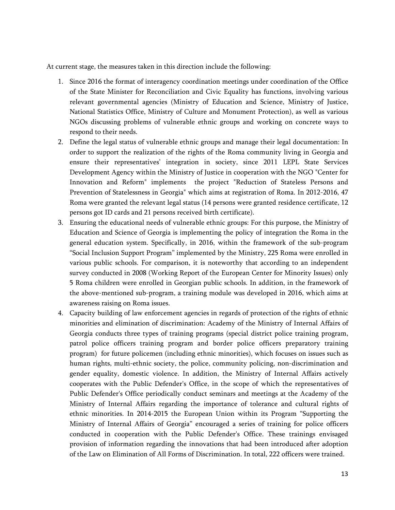At current stage, the measures taken in this direction include the following:

- 1. Since 2016 the format of interagency coordination meetings under coordination of the Office of the State Minister for Reconciliation and Civic Equality has functions, involving various relevant governmental agencies (Ministry of Education and Science, Ministry of Justice, National Statistics Office, Ministry of Culture and Monument Protection), as well as various NGOs discussing problems of vulnerable ethnic groups and working on concrete ways to respond to their needs.
- 2. Define the legal status of vulnerable ethnic groups and manage their legal documentation: In order to support the realization of the rights of the Roma community living in Georgia and ensure their representatives' integration in society, since 2011 LEPL State Services Development Agency within the Ministry of Justice in cooperation with the NGO "Center for Innovation and Reform" implements the project "Reduction of Stateless Persons and Prevention of Statelessness in Georgia" which aims at registration of Roma. In 2012-2016, 47 Roma were granted the relevant legal status (14 persons were granted residence certificate, 12 persons got ID cards and 21 persons received birth certificate).
- 3. Ensuring the educational needs of vulnerable ethnic groups:For this purpose, the Ministry of Education and Science of Georgia is implementing the policy of integration the Roma in the general education system. Specifically, in 2016, within the framework of the sub-program "Social Inclusion Support Program" implemented by the Ministry, 225 Roma were enrolled in various public schools. For comparison, it is noteworthy that according to an independent survey conducted in 2008 (Working Report of the European Center for Minority Issues) only 5 Roma children were enrolled in Georgian public schools. In addition, in the framework of the above-mentioned sub-program, a training module was developed in 2016, which aims at awareness raising on Roma issues.
- 4. Capacity building of law enforcement agencies in regards of protection of the rights of ethnic minorities and elimination of discrimination: Academy of the Ministry of Internal Affairs of Georgia conducts three types of training programs (special district police training program, patrol police officers training program and border police officers preparatory training program) for future policemen (including ethnic minorities), which focuses on issues such as human rights, multi-ethnic society, the police, community policing, non-discrimination and gender equality, domestic violence. In addition, the Ministry of Internal Affairs actively cooperates with the Public Defender's Office, in the scope of which the representatives of Public Defender's Office periodically conduct seminars and meetings at the Academy of the Ministry of Internal Affairs regarding the importance of tolerance and cultural rights of ethnic minorities. In 2014-2015 the European Union within its Program "Supporting the Ministry of Internal Affairs of Georgia" encouraged a series of training for police officers conducted in cooperation with the Public Defender's Office. These trainings envisaged provision of information regarding the innovations that had been introduced after adoption of the Law on Elimination of All Forms of Discrimination. In total, 222 officers were trained.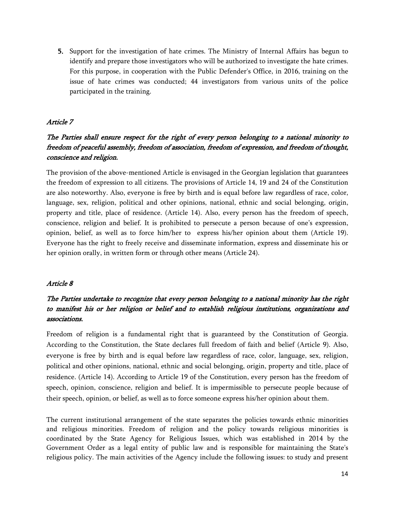**5.** Support for the investigation of hate crimes. The Ministry of Internal Affairs has begun to identify and prepare those investigators who will be authorized to investigate the hate crimes. For this purpose, in cooperation with the Public Defender's Office, in 2016, training on the issue of hate crimes was conducted; 44 investigators from various units of the police participated in the training.

### *Article 7*

# *The Parties shall ensure respect for the right of every person belonging to a national minority to freedom of peaceful assembly, freedom of association, freedom of expression, and freedom of thought, conscience and religion.*

The provision of the above-mentioned Article is envisaged in the Georgian legislation that guarantees the freedom of expression to all citizens. The provisions of Article 14, 19 and 24 of the Constitution are also noteworthy. Also, everyone is free by birth and is equal before law regardless of race, color, language, sex, religion, political and other opinions, national, ethnic and social belonging, origin, property and title, place of residence. (Article 14). Also, every person has the freedom of speech, conscience, religion and belief. It is prohibited to persecute a person because of one's expression, opinion, belief, as well as to force him/her to express his/her opinion about them (Article 19). Everyone has the right to freely receive and disseminate information, express and disseminate his or her opinion orally, in written form or through other means (Article 24).

#### *Article 8*

# *The Parties undertake to recognize that every person belonging to a national minority has the right to manifest his or her religion or belief and to establish religious institutions, organizations and associations.*

Freedom of religion is a fundamental right that is guaranteed by the Constitution of Georgia. According to the Constitution, the State declares full freedom of faith and belief (Article 9). Also, everyone is free by birth and is equal before law regardless of race, color, language, sex, religion, political and other opinions, national, ethnic and social belonging, origin, property and title, place of residence. (Article 14). According to Article 19 of the Constitution, every person has the freedom of speech, opinion, conscience, religion and belief. It is impermissible to persecute people because of their speech, opinion, or belief, as well as to force someone express his/her opinion about them.

The current institutional arrangement of the state separates the policies towards ethnic minorities and religious minorities. Freedom of religion and the policy towards religious minorities is coordinated by the State Agency for Religious Issues, which was established in 2014 by the Government Order as a legal entity of public law and is responsible for maintaining the State's religious policy. The main activities of the Agency include the following issues: to study and present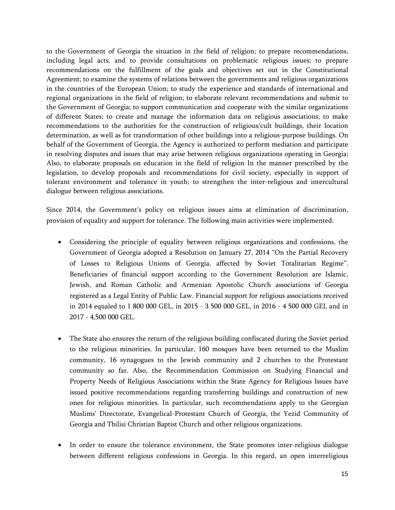to the Government of Georgia the situation in the field of religion; to prepare recommendations, including legal acts, and to provide consultations on problematic religious issues; to prepare recommendations on the fulfillment of the goals and objectives set out in the Constitutional Agreement; to examine the systems of relations between the governments and religious organizations in the countries of the European Union; to study the experience and standards of international and regional organizations in the field of religion; to elaborate relevant recommendations and submit to the Government of Georgia; to support communication and cooperate with the similar organizations of different States; to create and manage the information data on religious associations; to make recommendations to the authorities for the construction of religious/cult buildings, their location determination, as well as for transformation of other buildings into a religious-purpose buildings. On behalf of the Government of Georgia, the Agency is authorized to perform mediation and participate in resolving disputes and issues that may arise between religious organizations operating in Georgia; Also, to elaborate proposals on education in the field of religion In the manner prescribed by the legislation, to develop proposals and recommendations for civil society, especially in support of tolerant environment and tolerance in youth; to strengthen the inter-religious and intercultural dialogue between religious associations.

Since 2014, the Government's policy on religious issues aims at elimination of discrimination, provision of equality and support for tolerance. The following main activities were implemented:

- Considering the principle of equality between religious organizations and confessions, the Government of Georgia adopted a Resolution on January 27, 2014 "On the Partial Recovery of Losses to Religious Unions of Georgia, affected by Soviet Totalitarian Regime". Beneficiaries of financial support according to the Government Resolution are Islamic, Jewish, and Roman Catholic and Armenian Apostolic Church associations of Georgia registered as a Legal Entity of Public Law. Financial support for religious associations received in 2014 equaled to 1 800 000 GEL, in 2015 - 3 500 000 GEL, in 2016 - 4 500 000 GEL and in 2017 - 4,500 000 GEL.
- The State also ensures the return of the religious building confiscated during the Soviet period to the religious minorities. In particular, 160 mosques have been returned to the Muslim community, 16 synagogues to the Jewish community and 2 churches to the Protestant community so far. Also, the Recommendation Commission on Studying Financial and Property Needs of Religious Associations within the State Agency for Religious Issues have issued positive recommendations regarding transferring buildings and construction of new ones for religious minorities. In particular, such recommendations apply to the Georgian Muslims' Directorate, Evangelical-Protestant Church of Georgia, the Yezid Community of Georgia and Tbilisi Christian Baptist Church and other religious organizations.
- In order to ensure the tolerance environment, the State promotes inter-religious dialogue between different religious confessions in Georgia. In this regard, an open interreligious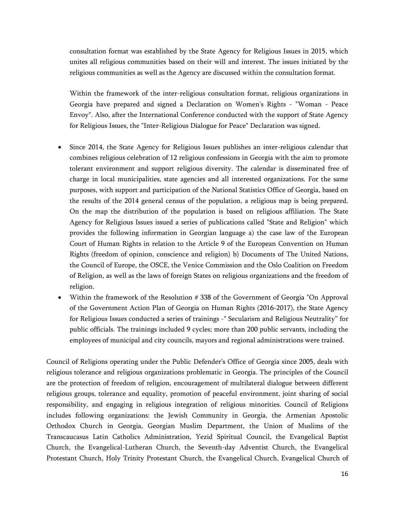consultation format was established by the State Agency for Religious Issues in 2015, which unites all religious communities based on their will and interest. The issues initiated by the religious communities as well as the Agency are discussed within the consultation format.

Within the framework of the inter-religious consultation format, religious organizations in Georgia have prepared and signed a Declaration on Women's Rights - "Woman - Peace Envoy". Also, after the International Conference conducted with the support of State Agency for Religious Issues, the "Inter-Religious Dialogue for Peace" Declaration was signed.

- Since 2014, the State Agency for Religious Issues publishes an inter-religious calendar that combines religious celebration of 12 religious confessions in Georgia with the aim to promote tolerant environment and support religious diversity. The calendar is disseminated free of charge in local municipalities, state agencies and all interested organizations. For the same purposes, with support and participation of the National Statistics Office of Georgia, based on the results of the 2014 general census of the population, a religious map is being prepared. On the map the distribution of the population is based on religious affiliation. The State Agency for Religious Issues issued a series of publications called "State and Religion" which provides the following information in Georgian language a) the case law of the European Court of Human Rights in relation to the Article 9 of the European Convention on Human Rights (freedom of opinion, conscience and religion) b) Documents of The United Nations, the Council of Europe, the OSCE, the Venice Commission and the Oslo Coalition on Freedom of Religion, as well as the laws of foreign States on religious organizations and the freedom of religion.
- Within the framework of the Resolution # 338 of the Government of Georgia "On Approval of the Government Action Plan of Georgia on Human Rights (2016-2017), the State Agency for Religious Issues conducted a series of trainings -" Secularism and Religious Neutrality" for public officials. The trainings included 9 cycles; more than 200 public servants, including the employees of municipal and city councils, mayors and regional administrations were trained.

Council of Religions operating under the Public Defender's Office of Georgia since 2005, deals with religious tolerance and religious organizations problematic in Georgia. The principles of the Council are the protection of freedom of religion, encouragement of multilateral dialogue between different religious groups, tolerance and equality, promotion of peaceful environment, joint sharing of social responsibility, and engaging in religious integration of religious minorities. Council of Religions includes following organizations: the Jewish Community in Georgia, the Armenian Apostolic Orthodox Church in Georgia, Georgian Muslim Department, the Union of Muslims of the Transcaucasus Latin Catholics Administration, Yezid Spiritual Council, the Evangelical Baptist Church, the Evangelical-Lutheran Church, the Seventh-day Adventist Church, the Evangelical Protestant Church, Holy Trinity Protestant Church, the Evangelical Church, Evangelical Church of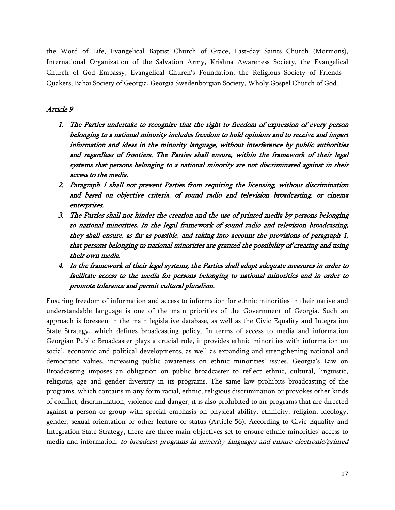the Word of Life, Evangelical Baptist Church of Grace, Last-day Saints Church (Mormons), International Organization of the Salvation Army, Krishna Awareness Society, the Evangelical Church of God Embassy, Evangelical Church's Foundation, the Religious Society of Friends - Quakers, Bahai Society of Georgia, Georgia Swedenborgian Society, Wholy Gospel Church of God.

#### *Article 9*

- *1. The Parties undertake to recognize that the right to freedom of expression of every person belonging to a national minority includes freedom to hold opinions and to receive and impart information and ideas in the minority language, without interference by public authorities and regardless of frontiers. The Parties shall ensure, within the framework of their legal systems that persons belonging to a national minority are not discriminated against in their access to the media.*
- *2. Paragraph 1 shall not prevent Parties from requiring the licensing, without discrimination and based on objective criteria, of sound radio and television broadcasting, or cinema enterprises.*
- *3. The Parties shall not hinder the creation and the use of printed media by persons belonging to national minorities. In the legal framework of sound radio and television broadcasting, they shall ensure, as far as possible, and taking into account the provisions of paragraph 1, that persons belonging to national minorities are granted the possibility of creating and using their own media.*
- *4. In the framework of their legal systems, the Parties shall adopt adequate measures in order to facilitate access to the media for persons belonging to national minorities and in order to promote tolerance and permit cultural pluralism.*

Ensuring freedom of information and access to information for ethnic minorities in their native and understandable language is one of the main priorities of the Government of Georgia. Such an approach is foreseen in the main legislative database, as well as the Civic Equality and Integration State Strategy, which defines broadcasting policy. In terms of access to media and information Georgian Public Broadcaster plays a crucial role, it provides ethnic minorities with information on social, economic and political developments, as well as expanding and strengthening national and democratic values, increasing public awareness on ethnic minorities' issues. Georgia's Law on Broadcasting imposes an obligation on public broadcaster to reflect ethnic, cultural, linguistic, religious, age and gender diversity in its programs. The same law prohibits broadcasting of the programs, which contains in any form racial, ethnic, religious discrimination or provokes other kinds of conflict, discrimination, violence and danger, it is also prohibited to air programs that are directed against a person or group with special emphasis on physical ability, ethnicity, religion, ideology, gender, sexual orientation or other feature or status (Article 56). According to Civic Equality and Integration State Strategy, there are three main objectives set to ensure ethnic minorities' access to media and information: *to broadcast programs in minority languages and ensure electronic/printed*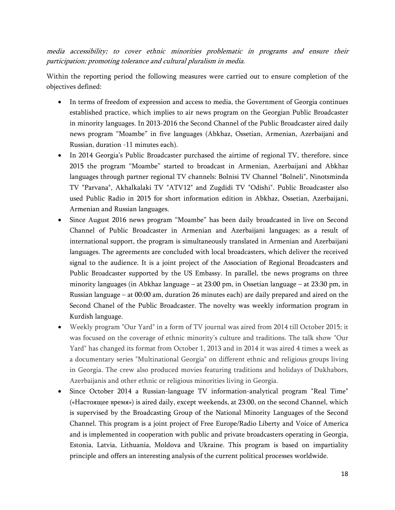*media accessibility; to cover ethnic minorities problematic in programs and ensure their participation; promoting tolerance and cultural pluralism in media.*

Within the reporting period the following measures were carried out to ensure completion of the objectives defined:

- In terms of freedom of expression and access to media, the Government of Georgia continues established practice, which implies to air news program on the Georgian Public Broadcaster in minority languages. In 2013-2016 the Second Channel of the Public Broadcaster aired daily news program "Moambe" in five languages (Abkhaz, Ossetian, Armenian, Azerbaijani and Russian, duration -11 minutes each).
- In 2014 Georgia's Public Broadcaster purchased the airtime of regional TV, therefore, since 2015 the program "Moambe" started to broadcast in Armenian, Azerbaijani and Abkhaz languages through partner regional TV channels: Bolnisi TV Channel "Bolneli", Ninotsminda TV "Parvana", Akhalkalaki TV "ATV12" and Zugdidi TV "Odishi". Public Broadcaster also used Public Radio in 2015 for short information edition in Abkhaz, Ossetian, Azerbaijani, Armenian and Russian languages.
- Since August 2016 news program "Moambe" has been daily broadcasted in live on Second Channel of Public Broadcaster in Armenian and Azerbaijani languages; as a result of international support, the program is simultaneously translated in Armenian and Azerbaijani languages. The agreements are concluded with local broadcasters, which deliver the received signal to the audience. It is a joint project of the Association of Regional Broadcasters and Public Broadcaster supported by the US Embassy. In parallel, the news programs on three minority languages (in Abkhaz language – at 23:00 pm, in Ossetian language – at 23:30 pm, in Russian language – at 00:00 am, duration 26 minutes each) are daily prepared and aired on the Second Chanel of the Public Broadcaster. The novelty was weekly information program in Kurdish language.
- Weekly program "Our Yard" in a form of TV journal was aired from 2014 till October 2015; it was focused on the coverage of ethnic minority's culture and traditions. The talk show "Our Yard" has changed its format from October 1, 2013 and in 2014 it was aired 4 times a week as a documentary series "Multinational Georgia" on different ethnic and religious groups living in Georgia. The crew also produced movies featuring traditions and holidays of Dukhabors, Azerbaijanis and other ethnic or religious minorities living in Georgia.
- Since October 2014 a Russian-language TV information-analytical program "Real Time" («Настоящее время») is aired daily, except weekends, at 23:00, on the second Channel, which is supervised by the Broadcasting Group of the National Minority Languages of the Second Channel. This program is a joint project of Free Europe/Radio Liberty and Voice of America and is implemented in cooperation with public and private broadcasters operating in Georgia, Estonia, Latvia, Lithuania, Moldova and Ukraine. This program is based on impartiality principle and offers an interesting analysis of the current political processes worldwide.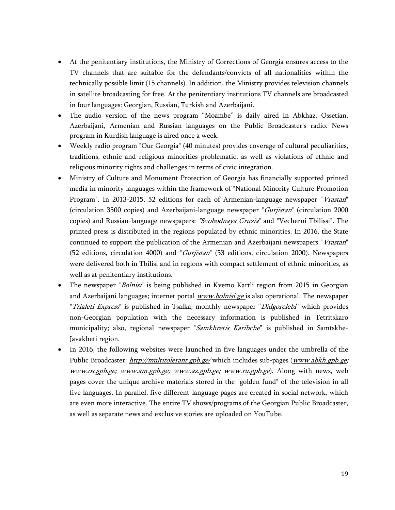- At the penitentiary institutions, the Ministry of Corrections of Georgia ensures access to the TV channels that are suitable for the defendants/convicts of all nationalities within the technically possible limit (15 channels). In addition, the Ministry provides television channels in satellite broadcasting for free. At the penitentiary institutions TV channels are broadcasted in four languages: Georgian, Russian, Turkish and Azerbaijani.
- The audio version of the news program "Moambe" is daily aired in Abkhaz, Ossetian, Azerbaijani, Armenian and Russian languages on the Public Broadcaster's radio. News program in Kurdish language is aired once a week.
- Weekly radio program "Our Georgia" (40 minutes) provides coverage of cultural peculiarities, traditions, ethnic and religious minorities problematic, as well as violations of ethnic and religious minority rights and challenges in terms of civic integration.
- Ministry of Culture and Monument Protection of Georgia has financially supported printed media in minority languages within the framework of "National Minority Culture Promotion Program". In 2013-2015, 52 editions for each of Armenian-language newspaper "*Vrastan*" (circulation 3500 copies) and Azerbaijani-language newspaper "*Gurjistan*" (circulation 2000 copies) and Russian-language newspapers: *"Svobodnaya Gruzia*" and "Vecherni Tbilissi". The printed press is distributed in the regions populated by ethnic minorities. In 2016, the State continued to support the publication of the Armenian and Azerbaijani newspapers "*Vrastan*" (52 editions, circulation 4000) and "*Gurjistan*" (53 editions, circulation 2000). Newspapers were delivered both in Tbilisi and in regions with compact settlement of ethnic minorities, as well as at penitentiary institutions.
- The newspaper "*Bolnisi*" is being published in Kvemo Kartli region from 2015 in Georgian and Azerbaijani languages; internet portal *[www.bolnisi.ge](http://www.bolnisi.ge)* is also operational. The newspaper "*Trialeti Express*" is published in Tsalka; monthly newspaper "*Didgorelebi*" which provides non-Georgian population with the necessary information is published in Tetritskaro municipality; also, regional newspaper "*Samkhretis Karibche*" is published in Samtskhe-Javakheti region.
- In 2016, the following websites were launched in five languages under the umbrella of the Public Broadcaster: *<http://multitolerant.gpb.ge/>* which includes sub-pages (*[www.abkh.gpb.ge](http://www.abkh.gpb.ge); [www.os.gpb.ge](http://www.os.gpb.ge); [www.am.gpb.ge;](http://www.am.gpb.ge) [www.az.gpb.ge](http://www.az.gpb.ge); [www.ru.gpb.ge](http://www.ru.gpb.ge)*). Along with news, web pages cover the unique archive materials stored in the "golden fund" of the television in all five languages. In parallel, five different-language pages are created in social network, which are even more interactive. The entire TV shows/programs of the Georgian Public Broadcaster, as well as separate news and exclusive stories are uploaded on YouTube.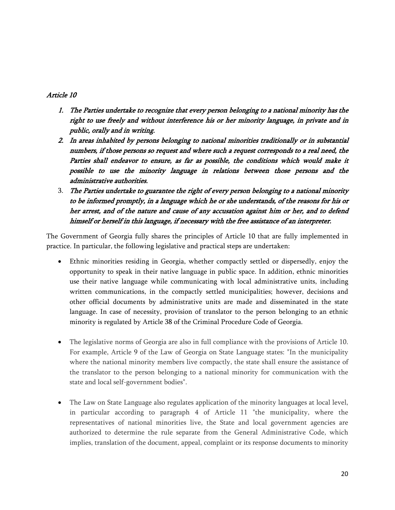### *Article 10*

- *1. The Parties undertake to recognize that every person belonging to a national minority has the right to use freely and without interference his or her minority language, in private and in public, orally and in writing.*
- *2. In areas inhabited by persons belonging to national minorities traditionally or in substantial numbers, if those persons so request and where such a request corresponds to a real need, the Parties shall endeavor to ensure, as far as possible, the conditions which would make it possible to use the minority language in relations between those persons and the administrative authorities.*
- 3. *The Parties undertake to guarantee the right of every person belonging to a national minority to be informed promptly, in a language which he or she understands, of the reasons for his or her arrest, and of the nature and cause of any accusation against him or her, and to defend himself or herself in this language, if necessary with the free assistance of an interpreter.*

The Government of Georgia fully shares the principles of Article 10 that are fully implemented in practice. In particular, the following legislative and practical steps are undertaken:

- Ethnic minorities residing in Georgia, whether compactly settled or dispersedly, enjoy the opportunity to speak in their native language in public space. In addition, ethnic minorities use their native language while communicating with local administrative units, including written communications, in the compactly settled municipalities; however, decisions and other official documents by administrative units are made and disseminated in the state language. In case of necessity, provision of translator to the person belonging to an ethnic minority is regulated by Article 38 of the Criminal Procedure Code of Georgia.
- The legislative norms of Georgia are also in full compliance with the provisions of Article 10. For example, Article 9 of the Law of Georgia on State Language states: "In the municipality where the national minority members live compactly, the state shall ensure the assistance of the translator to the person belonging to a national minority for communication with the state and local self-government bodies".
- The Law on State Language also regulates application of the minority languages at local level, in particular according to paragraph 4 of Article 11 "the municipality, where the representatives of national minorities live, the State and local government agencies are authorized to determine the rule separate from the General Administrative Code, which implies, translation of the document, appeal, complaint or its response documents to minority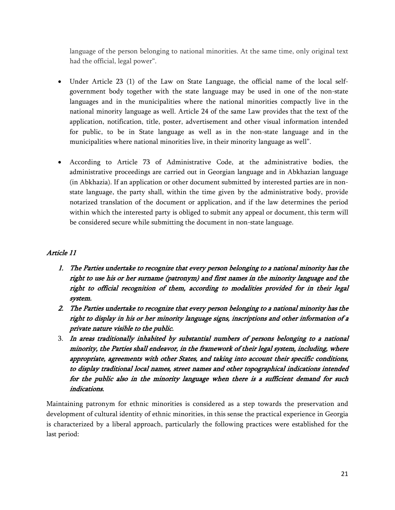language of the person belonging to national minorities. At the same time, only original text had the official, legal power".

- Under Article 23 (1) of the Law on State Language, the official name of the local selfgovernment body together with the state language may be used in one of the non-state languages and in the municipalities where the national minorities compactly live in the national minority language as well. Article 24 of the same Law provides that the text of the application, notification, title, poster, advertisement and other visual information intended for public, to be in State language as well as in the non-state language and in the municipalities where national minorities live, in their minority language as well".
- According to Article 73 of Administrative Code, at the administrative bodies, the administrative proceedings are carried out in Georgian language and in Abkhazian language (in Abkhazia). If an application or other document submitted by interested parties are in nonstate language, the party shall, within the time given by the administrative body, provide notarized translation of the document or application, and if the law determines the period within which the interested party is obliged to submit any appeal or document, this term will be considered secure while submitting the document in non-state language.

### *Article 11*

- *1. The Parties undertake to recognize that every person belonging to a national minority has the right to use his or her surname (patronym) and first names in the minority language and the right to official recognition of them, according to modalities provided for in their legal system.*
- *2. The Parties undertake to recognize that every person belonging to a national minority has the right to display in his or her minority language signs, inscriptions and other information of a private nature visible to the public.*
- 3. *In areas traditionally inhabited by substantial numbers of persons belonging to a national minority, the Parties shall endeavor, in the framework of their legal system, including, where appropriate, agreements with other States, and taking into account their specific conditions, to display traditional local names, street names and other topographical indications intended for the public also in the minority language when there is a sufficient demand for such indications.*

Maintaining patronym for ethnic minorities is considered as a step towards the preservation and development of cultural identity of ethnic minorities, in this sense the practical experience in Georgia is characterized by a liberal approach, particularly the following practices were established for the last period: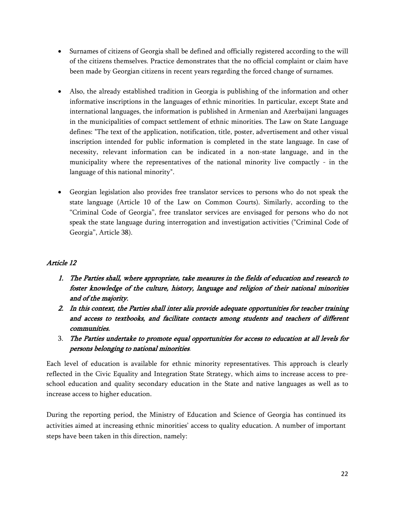- Surnames of citizens of Georgia shall be defined and officially registered according to the will of the citizens themselves. Practice demonstrates that the no official complaint or claim have been made by Georgian citizens in recent years regarding the forced change of surnames.
- Also, the already established tradition in Georgia is publishing of the information and other informative inscriptions in the languages of ethnic minorities. In particular, except State and international languages, the information is published in Armenian and Azerbaijani languages in the municipalities of compact settlement of ethnic minorities. The Law on State Language defines: "The text of the application, notification, title, poster, advertisement and other visual inscription intended for public information is completed in the state language. In case of necessity, relevant information can be indicated in a non-state language, and in the municipality where the representatives of the national minority live compactly - in the language of this national minority".
- Georgian legislation also provides free translator services to persons who do not speak the state language (Article 10 of the Law on Common Courts). Similarly, according to the "Criminal Code of Georgia", free translator services are envisaged for persons who do not speak the state language during interrogation and investigation activities ("Criminal Code of Georgia", Article 38).

# *Article 12*

- *1. The Parties shall, where appropriate, take measures in the fields of education and research to foster knowledge of the culture, history, language and religion of their national minorities and of the majority.*
- *2. In this context, the Parties shall inter alia provide adequate opportunities for teacher training and access to textbooks, and facilitate contacts among students and teachers of different communities.*
- 3. *The Parties undertake to promote equal opportunities for access to education at all levels for persons belonging to national minorities*.

Each level of education is available for ethnic minority representatives. This approach is clearly reflected in the Civic Equality and Integration State Strategy, which aims to increase access to preschool education and quality secondary education in the State and native languages as well as to increase access to higher education.

During the reporting period, the Ministry of Education and Science of Georgia has continued its activities aimed at increasing ethnic minorities' access to quality education. A number of important steps have been taken in this direction, namely: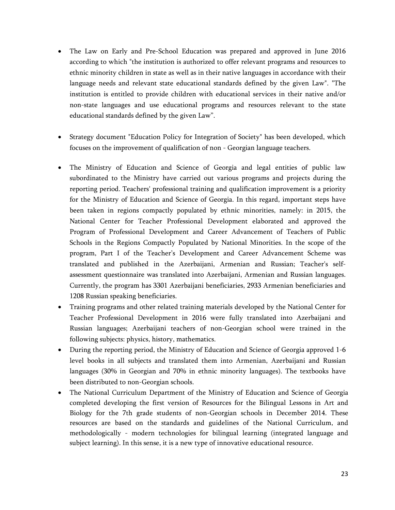- The Law on Early and Pre-School Education was prepared and approved in June 2016 according to which "the institution is authorized to offer relevant programs and resources to ethnic minority children in state as well as in their native languages in accordance with their language needs and relevant state educational standards defined by the given Law". "The institution is entitled to provide children with educational services in their native and/or non-state languages and use educational programs and resources relevant to the state educational standards defined by the given Law".
- Strategy document "Education Policy for Integration of Society" has been developed, which focuses on the improvement of qualification of non - Georgian language teachers.
- The Ministry of Education and Science of Georgia and legal entities of public law subordinated to the Ministry have carried out various programs and projects during the reporting period. Teachers' professional training and qualification improvement is a priority for the Ministry of Education and Science of Georgia. In this regard, important steps have been taken in regions compactly populated by ethnic minorities, namely: in 2015, the National Center for Teacher Professional Development elaborated and approved the Program of Professional Development and Career Advancement of Teachers of Public Schools in the Regions Compactly Populated by National Minorities. In the scope of the program, Part I of the Teacher's Development and Career Advancement Scheme was translated and published in the Azerbaijani, Armenian and Russian; Teacher's selfassessment questionnaire was translated into Azerbaijani, Armenian and Russian languages. Currently, the program has 3301 Azerbaijani beneficiaries, 2933 Armenian beneficiaries and 1208 Russian speaking beneficiaries.
- Training programs and other related training materials developed by the National Center for Teacher Professional Development in 2016 were fully translated into Azerbaijani and Russian languages; Azerbaijani teachers of non-Georgian school were trained in the following subjects: physics, history, mathematics.
- During the reporting period, the Ministry of Education and Science of Georgia approved 1-6 level books in all subjects and translated them into Armenian, Azerbaijani and Russian languages (30% in Georgian and 70% in ethnic minority languages). The textbooks have been distributed to non-Georgian schools.
- The National Curriculum Department of the Ministry of Education and Science of Georgia completed developing the first version of Resources for the Bilingual Lessons in Art and Biology for the 7th grade students of non-Georgian schools in December 2014. These resources are based on the standards and guidelines of the National Curriculum, and methodologically - modern technologies for bilingual learning (integrated language and subject learning). In this sense, it is a new type of innovative educational resource.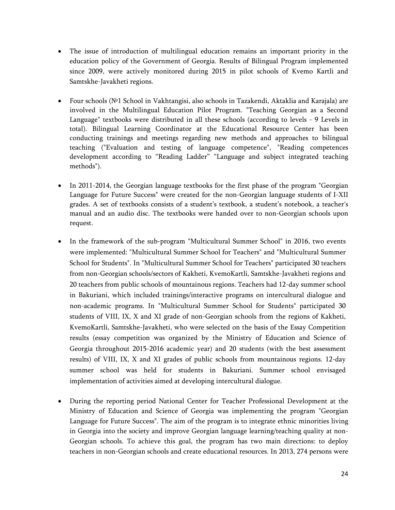- The issue of introduction of multilingual education remains an important priority in the education policy of the Government of Georgia. Results of Bilingual Program implemented since 2009, were actively monitored during 2015 in pilot schools of Kvemo Kartli and Samtskhe-Javakheti regions.
- Four schools (№1 School in Vakhtangisi, also schools in Tazakendi, Aktaklia and Karajala) are involved in the Multilingual Education Pilot Program. "Teaching Georgian as a Second Language" textbooks were distributed in all these schools (according to levels - 9 Levels in total). Bilingual Learning Coordinator at the Educational Resource Center has been conducting trainings and meetings regarding new methods and approaches to bilingual teaching ("Evaluation and testing of language competence", "Reading competences development according to "Reading Ladder" "Language and subject integrated teaching methods").
- In 2011-2014, the Georgian language textbooks for the first phase of the program "Georgian Language for Future Success" were created for the non-Georgian language students of I-XII grades. A set of textbooks consists of a student's textbook, a student's notebook, a teacher's manual and an audio disc. The textbooks were handed over to non-Georgian schools upon request.
- In the framework of the sub-program "Multicultural Summer School" in 2016, two events were implemented: "Multicultural Summer School for Teachers" and "Multicultural Summer School for Students". In "Multicultural Summer School for Teachers" participated 30 teachers from non-Georgian schools/sectors of Kakheti, KvemoKartli, Samtskhe-Javakheti regions and 20 teachers from public schools of mountainous regions. Teachers had 12-day summer school in Bakuriani, which included trainings/interactive programs on intercultural dialogue and non-academic programs. In "Multicultural Summer School for Students" participated 30 students of VIII, IX, X and XI grade of non-Georgian schools from the regions of Kakheti, KvemoKartli, Samtskhe-Javakheti, who were selected on the basis of the Essay Competition results (essay competition was organized by the Ministry of Education and Science of Georgia throughout 2015-2016 academic year) and 20 students (with the best assessment results) of VIII, IX, X and XI grades of public schools from mountainous regions. 12-day summer school was held for students in Bakuriani. Summer school envisaged implementation of activities aimed at developing intercultural dialogue.
- During the reporting period National Center for Teacher Professional Development at the Ministry of Education and Science of Georgia was implementing the program "Georgian Language for Future Success". The aim of the program is to integrate ethnic minorities living in Georgia into the society and improve Georgian language learning/teaching quality at non-Georgian schools. To achieve this goal, the program has two main directions: to deploy teachers in non-Georgian schools and create educational resources. In 2013, 274 persons were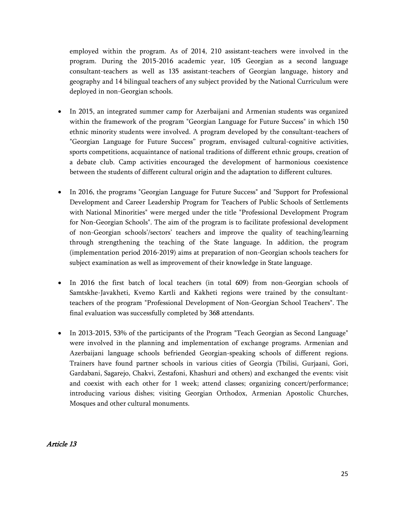employed within the program. As of 2014, 210 assistant-teachers were involved in the program. During the 2015-2016 academic year, 105 Georgian as a second language consultant-teachers as well as 135 assistant-teachers of Georgian language, history and geography and 14 bilingual teachers of any subject provided by the National Curriculum were deployed in non-Georgian schools.

- In 2015, an integrated summer camp for Azerbaijani and Armenian students was organized within the framework of the program "Georgian Language for Future Success" in which 150 ethnic minority students were involved. A program developed by the consultant-teachers of "Georgian Language for Future Success" program, envisaged cultural-cognitive activities, sports competitions, acquaintance of national traditions of different ethnic groups, creation of a debate club. Camp activities encouraged the development of harmonious coexistence between the students of different cultural origin and the adaptation to different cultures.
- In 2016, the programs "Georgian Language for Future Success" and "Support for Professional Development and Career Leadership Program for Teachers of Public Schools of Settlements with National Minorities" were merged under the title "Professional Development Program for Non-Georgian Schools". The aim of the program is to facilitate professional development of non-Georgian schools'/sectors' teachers and improve the quality of teaching/learning through strengthening the teaching of the State language. In addition, the program (implementation period 2016-2019) aims at preparation of non-Georgian schools teachers for subject examination as well as improvement of their knowledge in State language.
- In 2016 the first batch of local teachers (in total 609) from non-Georgian schools of Samtskhe-Javakheti, Kvemo Kartli and Kakheti regions were trained by the consultantteachers of the program "Professional Development of Non-Georgian School Teachers". The final evaluation was successfully completed by 368 attendants.
- In 2013-2015, 53% of the participants of the Program "Teach Georgian as Second Language" were involved in the planning and implementation of exchange programs. Armenian and Azerbaijani language schools befriended Georgian-speaking schools of different regions. Trainers have found partner schools in various cities of Georgia (Tbilisi, Gurjaani, Gori, Gardabani, Sagarejo, Chakvi, Zestafoni, Khashuri and others) and exchanged the events: visit and coexist with each other for 1 week; attend classes; organizing concert/performance; introducing various dishes; visiting Georgian Orthodox, Armenian Apostolic Churches, Mosques and other cultural monuments.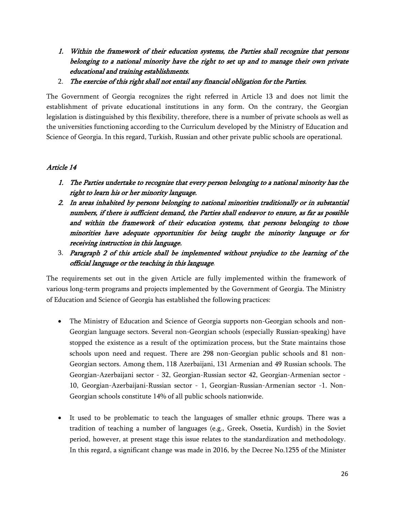- *1. Within the framework of their education systems, the Parties shall recognize that persons belonging to a national minority have the right to set up and to manage their own private educational and training establishments.*
- 2. *The exercise of this right shall not entail any financial obligation for the Parties.*

The Government of Georgia recognizes the right referred in Article 13 and does not limit the establishment of private educational institutions in any form. On the contrary, the Georgian legislation is distinguished by this flexibility, therefore, there is a number of private schools as well as the universities functioning according to the Curriculum developed by the Ministry of Education and Science of Georgia. In this regard, Turkish, Russian and other private public schools are operational.

### *Article 14*

- *1. The Parties undertake to recognize that every person belonging to a national minority has the right to learn his or her minority language.*
- *2. In areas inhabited by persons belonging to national minorities traditionally or in substantial numbers, if there is sufficient demand, the Parties shall endeavor to ensure, as far as possible and within the framework of their education systems, that persons belonging to those minorities have adequate opportunities for being taught the minority language or for receiving instruction in this language.*
- 3. *Paragraph 2 of this article shall be implemented without prejudice to the learning of the official language or the teaching in this language*.

The requirements set out in the given Article are fully implemented within the framework of various long-term programs and projects implemented by the Government of Georgia. The Ministry of Education and Science of Georgia has established the following practices:

- The Ministry of Education and Science of Georgia supports non-Georgian schools and non-Georgian language sectors. Several non-Georgian schools (especially Russian-speaking) have stopped the existence as a result of the optimization process, but the State maintains those schools upon need and request. There are 298 non-Georgian public schools and 81 non-Georgian sectors. Among them, 118 Azerbaijani, 131 Armenian and 49 Russian schools. The Georgian-Azerbaijani sector - 32, Georgian-Russian sector 42, Georgian-Armenian sector - 10, Georgian-Azerbaijani-Russian sector - 1, Georgian-Russian-Armenian sector -1. Non-Georgian schools constitute 14% of all public schools nationwide.
- It used to be problematic to teach the languages of smaller ethnic groups. There was a tradition of teaching a number of languages (e.g., Greek, Ossetia, Kurdish) in the Soviet period, however, at present stage this issue relates to the standardization and methodology. In this regard, a significant change was made in 2016, by the Decree No.1255 of the Minister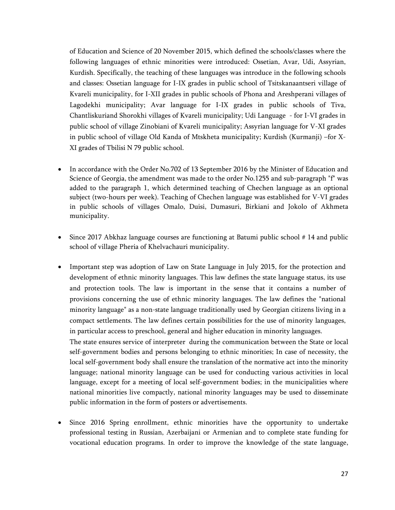of Education and Science of 20 November 2015, which defined the schools/classes where the following languages of ethnic minorities were introduced: Ossetian, Avar, Udi, Assyrian, Kurdish. Specifically, the teaching of these languages was introduce in the following schools and classes: Ossetian language for I-IX grades in public school of Tsitskanaantseri village of Kvareli municipality, for I-XII grades in public schools of Phona and Areshperani villages of Lagodekhi municipality; Avar language for I-IX grades in public schools of Tiva, Chantliskuriand Shorokhi villages of Kvareli municipality; Udi Language - for I-VI grades in public school of village Zinobiani of Kvareli municipality; Assyrian language for V-XI grades in public school of village Old Kanda of Mtskheta municipality; Kurdish (Kurmanji) –for X-XI grades of Tbilisi N 79 public school.

- In accordance with the Order No.702 of 13 September 2016 by the Minister of Education and Science of Georgia, the amendment was made to the order No.1255 and sub-paragraph "f" was added to the paragraph 1, which determined teaching of Chechen language as an optional subject (two-hours per week). Teaching of Chechen language was established for V-VI grades in public schools of villages Omalo, Duisi, Dumasuri, Birkiani and Jokolo of Akhmeta municipality.
- Since 2017 Abkhaz language courses are functioning at Batumi public school # 14 and public school of village Pheria of Khelvachauri municipality.
- Important step was adoption of Law on State Language in July 2015, for the protection and development of ethnic minority languages. This law defines the state language status, its use and protection tools. The law is important in the sense that it contains a number of provisions concerning the use of ethnic minority languages. The law defines the "national minority language" as a non-state language traditionally used by Georgian citizens living in a compact settlements. The law defines certain possibilities for the use of minority languages, in particular access to preschool, general and higher education in minority languages.

The state ensures service of interpreter during the communication between the State or local self-government bodies and persons belonging to ethnic minorities; In case of necessity, the local self-government body shall ensure the translation of the normative act into the minority language; national minority language can be used for conducting various activities in local language, except for a meeting of local self-government bodies; in the municipalities where national minorities live compactly, national minority languages may be used to disseminate public information in the form of posters or advertisements.

 Since 2016 Spring enrollment, ethnic minorities have the opportunity to undertake professional testing in Russian, Azerbaijani or Armenian and to complete state funding for vocational education programs. In order to improve the knowledge of the state language,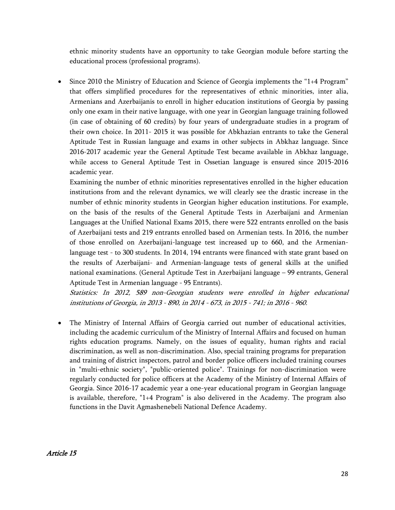ethnic minority students have an opportunity to take Georgian module before starting the educational process (professional programs).

 Since 2010 the Ministry of Education and Science of Georgia implements the "1+4 Program" that offers simplified procedures for the representatives of ethnic minorities, inter alia, Armenians and Azerbaijanis to enroll in higher education institutions of Georgia by passing only one exam in their native language, with one year in Georgian language training followed (in case of obtaining of 60 credits) by four years of undergraduate studies in a program of their own choice. In 2011- 2015 it was possible for Abkhazian entrants to take the General Aptitude Test in Russian language and exams in other subjects in Abkhaz language. Since 2016-2017 academic year the General Aptitude Test became available in Abkhaz language, while access to General Aptitude Test in Ossetian language is ensured since 2015-2016 academic year.

Examining the number of ethnic minorities representatives enrolled in the higher education institutions from and the relevant dynamics, we will clearly see the drastic increase in the number of ethnic minority students in Georgian higher education institutions. For example, on the basis of the results of the General Aptitude Tests in Azerbaijani and Armenian Languages at the Unified National Exams 2015, there were 522 entrants enrolled on the basis of Azerbaijani tests and 219 entrants enrolled based on Armenian tests. In 2016, the number of those enrolled on Azerbaijani-language test increased up to 660, and the Armenianlanguage test - to 300 students. In 2014, 194 entrants were financed with state grant based on the results of Azerbaijani- and Armenian-language tests of general skills at the unified national examinations. (General Aptitude Test in Azerbaijani language – 99 entrants, General Aptitude Test in Armenian language - 95 Entrants).

*Statistics: In 2012, 589 non-Georgian students were enrolled in higher educational institutions of Georgia, in 2013 - 890, in 2014 - 673, in 2015 - 741; in 2016 - 960.*

 The Ministry of Internal Affairs of Georgia carried out number of educational activities, including the academic curriculum of the Ministry of Internal Affairs and focused on human rights education programs. Namely, on the issues of equality, human rights and racial discrimination, as well as non-discrimination. Also, special training programs for preparation and training of district inspectors, patrol and border police officers included training courses in "multi-ethnic society", "public-oriented police". Trainings for non-discrimination were regularly conducted for police officers at the Academy of the Ministry of Internal Affairs of Georgia. Since 2016-17 academic year a one-year educational program in Georgian language is available, therefore, "1+4 Program" is also delivered in the Academy. The program also functions in the Davit Agmashenebeli National Defence Academy.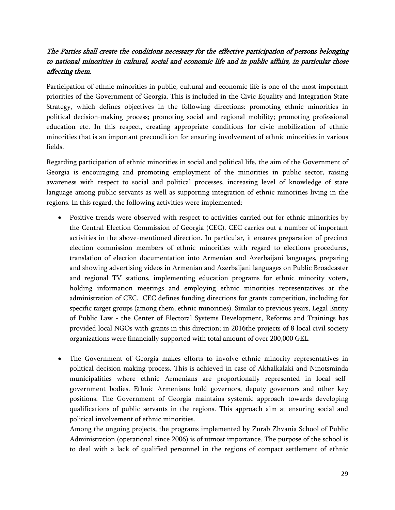# *The Parties shall create the conditions necessary for the effective participation of persons belonging to national minorities in cultural, social and economic life and in public affairs, in particular those affecting them.*

Participation of ethnic minorities in public, cultural and economic life is one of the most important priorities of the Government of Georgia. This is included in the Civic Equality and Integration State Strategy, which defines objectives in the following directions: promoting ethnic minorities in political decision-making process; promoting social and regional mobility; promoting professional education etc. In this respect, creating appropriate conditions for civic mobilization of ethnic minorities that is an important precondition for ensuring involvement of ethnic minorities in various fields.

Regarding participation of ethnic minorities in social and political life, the aim of the Government of Georgia is encouraging and promoting employment of the minorities in public sector, raising awareness with respect to social and political processes, increasing level of knowledge of state language among public servants as well as supporting integration of ethnic minorities living in the regions. In this regard, the following activities were implemented:

- Positive trends were observed with respect to activities carried out for ethnic minorities by the Central Election Commission of Georgia (CEC). CEC carries out a number of important activities in the above-mentioned direction. In particular, it ensures preparation of precinct election commission members of ethnic minorities with regard to elections procedures, translation of election documentation into Armenian and Azerbaijani languages, preparing and showing advertising videos in Armenian and Azerbaijani languages on Public Broadcaster and regional TV stations, implementing education programs for ethnic minority voters, holding information meetings and employing ethnic minorities representatives at the administration of CEC. CEC defines funding directions for grants competition, including for specific target groups (among them, ethnic minorities). Similar to previous years, Legal Entity of Public Law - the Center of Electoral Systems Development, Reforms and Trainings has provided local NGOs with grants in this direction; in 2016the projects of 8 local civil society organizations were financially supported with total amount of over 200,000 GEL.
- The Government of Georgia makes efforts to involve ethnic minority representatives in political decision making process. This is achieved in case of Akhalkalaki and Ninotsminda municipalities where ethnic Armenians are proportionally represented in local selfgovernment bodies. Ethnic Armenians hold governors, deputy governors and other key positions. The Government of Georgia maintains systemic approach towards developing qualifications of public servants in the regions. This approach aim at ensuring social and political involvement of ethnic minorities.

Among the ongoing projects, the programs implemented by Zurab Zhvania School of Public Administration (operational since 2006) is of utmost importance. The purpose of the school is to deal with a lack of qualified personnel in the regions of compact settlement of ethnic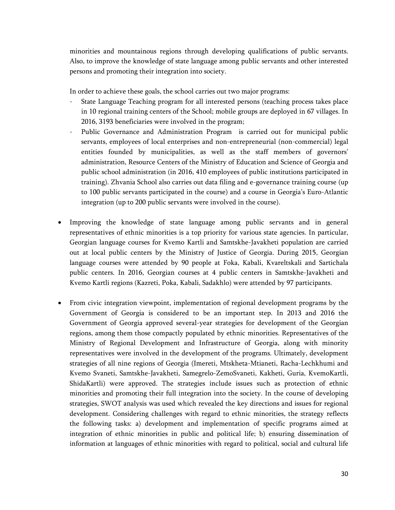minorities and mountainous regions through developing qualifications of public servants. Also, to improve the knowledge of state language among public servants and other interested persons and promoting their integration into society.

In order to achieve these goals, the school carries out two major programs:

- State Language Teaching program for all interested persons (teaching process takes place in 10 regional training centers of the School; mobile groups are deployed in 67 villages. In 2016, 3193 beneficiaries were involved in the program;
- Public Governance and Administration Program is carried out for municipal public servants, employees of local enterprises and non-entrepreneurial (non-commercial) legal entities founded by municipalities, as well as the staff members of governors' administration, Resource Centers of the Ministry of Education and Science of Georgia and public school administration (in 2016, 410 employees of public institutions participated in training). Zhvania School also carries out data filing and e-governance training course (up to 100 public servants participated in the course) and a course in Georgia's Euro-Atlantic integration (up to 200 public servants were involved in the course).
- Improving the knowledge of state language among public servants and in general representatives of ethnic minorities is a top priority for various state agencies. In particular, Georgian language courses for Kvemo Kartli and Samtskhe-Javakheti population are carried out at local public centers by the Ministry of Justice of Georgia. During 2015, Georgian language courses were attended by 90 people at Foka, Kabali, Kvareltskali and Sartichala public centers. In 2016, Georgian courses at 4 public centers in Samtskhe-Javakheti and Kvemo Kartli regions (Kazreti, Poka, Kabali, Sadakhlo) were attended by 97 participants.
- From civic integration viewpoint, implementation of regional development programs by the Government of Georgia is considered to be an important step. In 2013 and 2016 the Government of Georgia approved several-year strategies for development of the Georgian regions, among them those compactly populated by ethnic minorities. Representatives of the Ministry of Regional Development and Infrastructure of Georgia, along with minority representatives were involved in the development of the programs. Ultimately, development strategies of all nine regions of Georgia (Imereti, Mtskheta-Mtianeti, Racha-Lechkhumi and Kvemo Svaneti, Samtskhe-Javakheti, Samegrelo-ZemoSvaneti, Kakheti, Guria, KvemoKartli, ShidaKartli) were approved. The strategies include issues such as protection of ethnic minorities and promoting their full integration into the society. In the course of developing strategies, SWOT analysis was used which revealed the key directions and issues for regional development. Considering challenges with regard to ethnic minorities, the strategy reflects the following tasks: a) development and implementation of specific programs aimed at integration of ethnic minorities in public and political life; b) ensuring dissemination of information at languages of ethnic minorities with regard to political, social and cultural life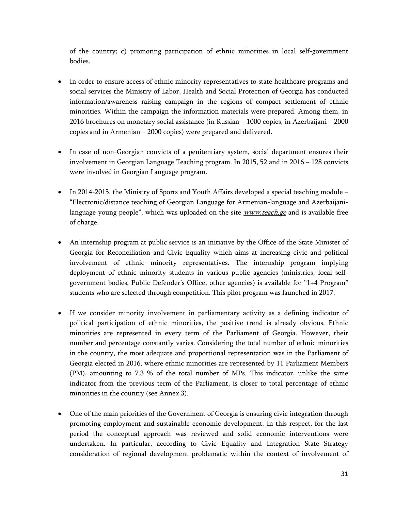of the country; c) promoting participation of ethnic minorities in local self-government bodies.

- In order to ensure access of ethnic minority representatives to state healthcare programs and social services the Ministry of Labor, Health and Social Protection of Georgia has conducted information/awareness raising campaign in the regions of compact settlement of ethnic minorities. Within the campaign the information materials were prepared. Among them, in 2016 brochures on monetary social assistance (in Russian – 1000 copies, in Azerbaijani – 2000 copies and in Armenian – 2000 copies) were prepared and delivered.
- In case of non-Georgian convicts of a penitentiary system, social department ensures their involvement in Georgian Language Teaching program. In 2015, 52 and in 2016 – 128 convicts were involved in Georgian Language program.
- $\bullet$  In 2014-2015, the Ministry of Sports and Youth Affairs developed a special teaching module "Electronic/distance teaching of Georgian Language for Armenian-language and Azerbaijanilanguage young people", which was uploaded on the site *[www.teach.ge](http://www.teach.ge)* and is available free of charge.
- An internship program at public service is an initiative by the Office of the State Minister of Georgia for Reconciliation and Civic Equality which aims at increasing civic and political involvement of ethnic minority representatives. The internship program implying deployment of ethnic minority students in various public agencies (ministries, local selfgovernment bodies, Public Defender's Office, other agencies) is available for "1+4 Program" students who are selected through competition. This pilot program was launched in 2017.
- If we consider minority involvement in parliamentary activity as a defining indicator of political participation of ethnic minorities, the positive trend is already obvious. Ethnic minorities are represented in every term of the Parliament of Georgia. However, their number and percentage constantly varies. Considering the total number of ethnic minorities in the country, the most adequate and proportional representation was in the Parliament of Georgia elected in 2016, where ethnic minorities are represented by 11 Parliament Members (PM), amounting to 7.3 % of the total number of MPs. This indicator, unlike the same indicator from the previous term of the Parliament, is closer to total percentage of ethnic minorities in the country (see Annex 3).
- One of the main priorities of the Government of Georgia is ensuring civic integration through promoting employment and sustainable economic development. In this respect, for the last period the conceptual approach was reviewed and solid economic interventions were undertaken. In particular, according to Civic Equality and Integration State Strategy consideration of regional development problematic within the context of involvement of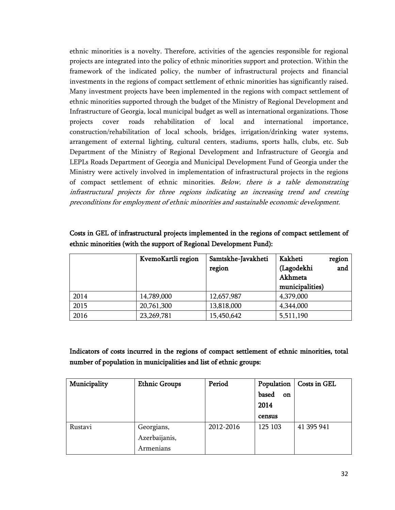ethnic minorities is a novelty. Therefore, activities of the agencies responsible for regional projects are integrated into the policy of ethnic minorities support and protection. Within the framework of the indicated policy, the number of infrastructural projects and financial investments in the regions of compact settlement of ethnic minorities has significantly raised. Many investment projects have been implemented in the regions with compact settlement of ethnic minorities supported through the budget of the Ministry of Regional Development and Infrastructure of Georgia, local municipal budget as well as international organizations. Those projects cover roads rehabilitation of local and international importance, construction/rehabilitation of local schools, bridges, irrigation/drinking water systems, arrangement of external lighting, cultural centers, stadiums, sports halls, clubs, etc. Sub Department of the Ministry of Regional Development and Infrastructure of Georgia and LEPLs Roads Department of Georgia and Municipal Development Fund of Georgia under the Ministry were actively involved in implementation of infrastructural projects in the regions of compact settlement of ethnic minorities. *Below, there is a table demonstrating infrastructural projects for three regions indicating an increasing trend and creating preconditions for employment of ethnic minorities and sustainable economic development.* 

|      | KvemoKartli region | Samtskhe-Javakheti | Kakheti         | region |
|------|--------------------|--------------------|-----------------|--------|
|      |                    | region             | (Lagodekhi      | and    |
|      |                    |                    | Akhmeta         |        |
|      |                    |                    | municipalities) |        |
| 2014 | 14,789,000         | 12,657,987         | 4,379,000       |        |
| 2015 | 20,761,300         | 13,818,000         | 4,344,000       |        |
| 2016 | 23,269,781         | 15,450,642         | 5,511,190       |        |

**Costs in GEL of infrastructural projects implemented in the regions of compact settlement of ethnic minorities (with the support of Regional Development Fund):**

**Indicators of costs incurred in the regions of compact settlement of ethnic minorities, total number of population in municipalities and list of ethnic groups:**

| Municipality | <b>Ethnic Groups</b> | Period    | Population         | Costs in GEL |
|--------------|----------------------|-----------|--------------------|--------------|
|              |                      |           | based<br><b>on</b> |              |
|              |                      |           | 2014               |              |
|              |                      |           | census             |              |
| Rustavi      | Georgians,           | 2012-2016 | 125 103            | 41 395 941   |
|              | Azerbaijanis,        |           |                    |              |
|              | Armenians            |           |                    |              |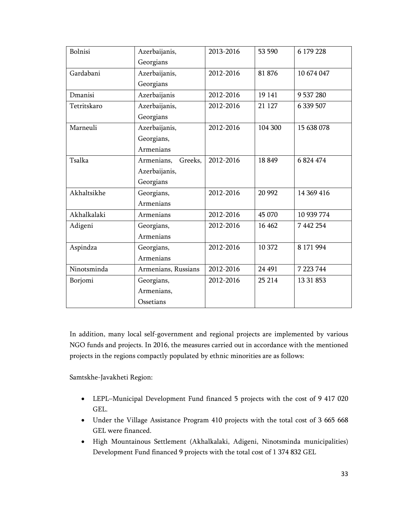| Bolnisi     | Azerbaijanis,         | 2013-2016 | 53 590  | 6 179 228  |
|-------------|-----------------------|-----------|---------|------------|
|             | Georgians             |           |         |            |
| Gardabani   | Azerbaijanis,         | 2012-2016 | 81 876  | 10 674 047 |
|             | Georgians             |           |         |            |
| Dmanisi     | Azerbaijanis          | 2012-2016 | 19 14 1 | 9 537 280  |
| Tetritskaro | Azerbaijanis,         | 2012-2016 | 21 1 27 | 6 339 507  |
|             | Georgians             |           |         |            |
| Marneuli    | Azerbaijanis,         | 2012-2016 | 104 300 | 15 638 078 |
|             | Georgians,            |           |         |            |
|             | Armenians             |           |         |            |
| Tsalka      | Armenians,<br>Greeks, | 2012-2016 | 18849   | 6824474    |
|             | Azerbaijanis,         |           |         |            |
|             | Georgians             |           |         |            |
| Akhaltsikhe | Georgians,            | 2012-2016 | 20 992  | 14 369 416 |
|             | Armenians             |           |         |            |
| Akhalkalaki | Armenians             | 2012-2016 | 45 070  | 10 939 774 |
| Adigeni     | Georgians,            | 2012-2016 | 16 4 62 | 7 442 254  |
|             | Armenians             |           |         |            |
| Aspindza    | Georgians,            | 2012-2016 | 10 372  | 8 171 994  |
|             | Armenians             |           |         |            |
| Ninotsminda | Armenians, Russians   | 2012-2016 | 24 491  | 7 223 744  |
| Borjomi     | Georgians,            | 2012-2016 | 25 214  | 13 31 853  |
|             | Armenians,            |           |         |            |
|             | Ossetians             |           |         |            |

In addition, many local self-government and regional projects are implemented by various NGO funds and projects. In 2016, the measures carried out in accordance with the mentioned projects in the regions compactly populated by ethnic minorities are as follows:

Samtskhe-Javakheti Region:

- LEPL–Municipal Development Fund financed 5 projects with the cost of 9 417 020 GEL.
- Under the Village Assistance Program 410 projects with the total cost of 3 665 668 GEL were financed.
- High Mountainous Settlement (Akhalkalaki, Adigeni, Ninotsminda municipalities) Development Fund financed 9 projects with the total cost of 1 374 832 GEL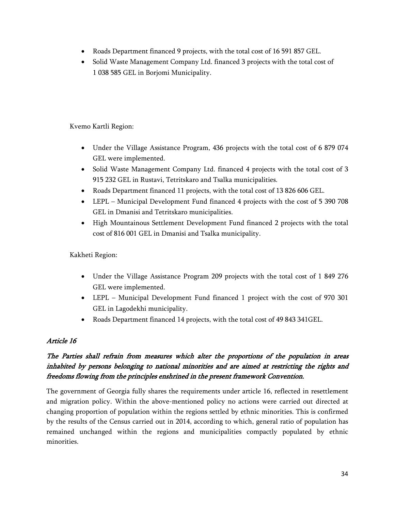- Roads Department financed 9 projects, with the total cost of 16 591 857 GEL.
- Solid Waste Management Company Ltd. financed 3 projects with the total cost of 1 038 585 GEL in Borjomi Municipality.

Kvemo Kartli Region:

- Under the Village Assistance Program, 436 projects with the total cost of 6 879 074 GEL were implemented.
- Solid Waste Management Company Ltd. financed 4 projects with the total cost of 3 915 232 GEL in Rustavi, Tetritskaro and Tsalka municipalities.
- Roads Department financed 11 projects, with the total cost of 13 826 606 GEL.
- LEPL Municipal Development Fund financed 4 projects with the cost of 5 390 708 GEL in Dmanisi and Tetritskaro municipalities.
- High Mountainous Settlement Development Fund financed 2 projects with the total cost of 816 001 GEL in Dmanisi and Tsalka municipality.

Kakheti Region:

- Under the Village Assistance Program 209 projects with the total cost of 1 849 276 GEL were implemented.
- LEPL Municipal Development Fund financed 1 project with the cost of 970 301 GEL in Lagodekhi municipality.
- Roads Department financed 14 projects, with the total cost of 49 843 341 GEL.

# *Article 16*

# *The Parties shall refrain from measures which alter the proportions of the population in areas inhabited by persons belonging to national minorities and are aimed at restricting the rights and freedoms flowing from the principles enshrined in the present framework Convention.*

The government of Georgia fully shares the requirements under article 16, reflected in resettlement and migration policy. Within the above-mentioned policy no actions were carried out directed at changing proportion of population within the regions settled by ethnic minorities. This is confirmed by the results of the Census carried out in 2014, according to which, general ratio of population has remained unchanged within the regions and municipalities compactly populated by ethnic minorities.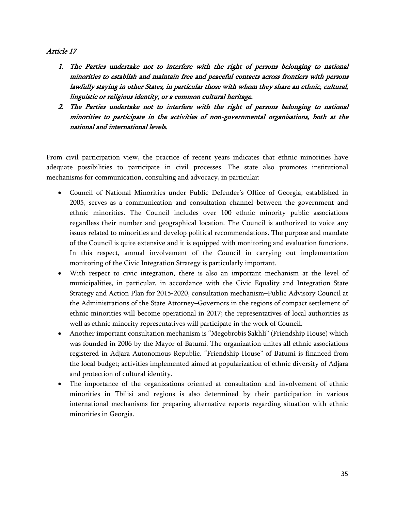### *Article 17*

- *1. The Parties undertake not to interfere with the right of persons belonging to national minorities to establish and maintain free and peaceful contacts across frontiers with persons lawfully staying in other States, in particular those with whom they share an ethnic, cultural, linguistic or religious identity, or a common cultural heritage.*
- *2. The Parties undertake not to interfere with the right of persons belonging to national minorities to participate in the activities of non-governmental organisations, both at the national and international levels.*

From civil participation view, the practice of recent years indicates that ethnic minorities have adequate possibilities to participate in civil processes. The state also promotes institutional mechanisms for communication, consulting and advocacy, in particular:

- Council of National Minorities under Public Defender's Office of Georgia, established in 2005, serves as a communication and consultation channel between the government and ethnic minorities. The Council includes over 100 ethnic minority public associations regardless their number and geographical location. The Council is authorized to voice any issues related to minorities and develop political recommendations. The purpose and mandate of the Council is quite extensive and it is equipped with monitoring and evaluation functions. In this respect, annual involvement of the Council in carrying out implementation monitoring of the Civic Integration Strategy is particularly important.
- With respect to civic integration, there is also an important mechanism at the level of municipalities, in particular, in accordance with the Civic Equality and Integration State Strategy and Action Plan for 2015-2020, consultation mechanism–Public Advisory Council at the Administrations of the State Attorney–Governors in the regions of compact settlement of ethnic minorities will become operational in 2017; the representatives of local authorities as well as ethnic minority representatives will participate in the work of Council.
- Another important consultation mechanism is "Megobrobis Sakhli" (Friendship House) which was founded in 2006 by the Mayor of Batumi. The organization unites all ethnic associations registered in Adjara Autonomous Republic. "Friendship House" of Batumi is financed from the local budget; activities implemented aimed at popularization of ethnic diversity of Adjara and protection of cultural identity.
- The importance of the organizations oriented at consultation and involvement of ethnic minorities in Tbilisi and regions is also determined by their participation in various international mechanisms for preparing alternative reports regarding situation with ethnic minorities in Georgia.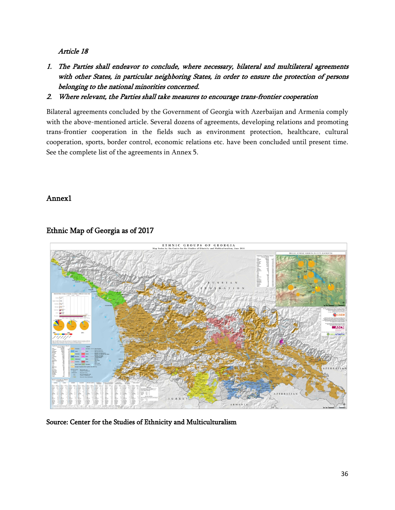### *Article 18*

- *1. The Parties shall endeavor to conclude, where necessary, bilateral and multilateral agreements with other States, in particular neighboring States, in order to ensure the protection of persons belonging to the national minorities concerned.*
- *2. Where relevant, the Parties shall take measures to encourage trans-frontier cooperation*

Bilateral agreements concluded by the Government of Georgia with Azerbaijan and Armenia comply with the above-mentioned article. Several dozens of agreements, developing relations and promoting trans-frontier cooperation in the fields such as environment protection, healthcare, cultural cooperation, sports, border control, economic relations etc. have been concluded until present time. See the complete list of the agreements in Annex 5.

### <span id="page-35-0"></span>**Annex1**



# **Ethnic Map of Georgia as of 2017**

<span id="page-35-1"></span>**Source: Center for the Studies of Ethnicity and Multiculturalism**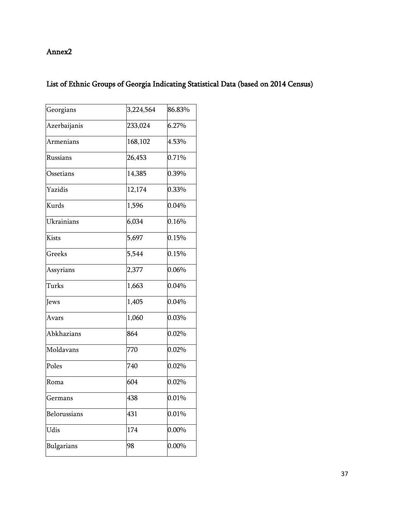# **Annex2**

# **List of Ethnic Groups of Georgia Indicating Statistical Data (based on 2014 Census)**

| Georgians        | 3,224,564 | 86.83%   |
|------------------|-----------|----------|
| Azerbaijanis     | 233,024   | 6.27%    |
| <b>Armenians</b> | 168,102   | 4.53%    |
| Russians         | 26,453    | 0.71%    |
| Ossetians        | 14,385    | 0.39%    |
| Yazidis          | 12,174    | 0.33%    |
| Kurds            | 1,596     | 0.04%    |
| Ukrainians       | 6,034     | 0.16%    |
| Kists            | 5,697     | 0.15%    |
| Greeks           | 5,544     | 0.15%    |
| Assyrians        | 2,377     | $0.06\%$ |
| Turks            | 1,663     | 0.04%    |
| Jews             | 1,405     | 0.04%    |
| Avars            | 1,060     | 0.03%    |
| Abkhazians       | 864       | 0.02%    |
| Moldavans        | 770       | 0.02%    |
| Poles            | 740       | $0.02\%$ |
| Roma             | 604       | $0.02\%$ |
| Germans          | 438       | 0.01%    |
| Belorussians     | 431       | 0.01%    |
| Udis             | 174       | 0.00%    |
| Bulgarians       | 98        | 0.00%    |
|                  |           |          |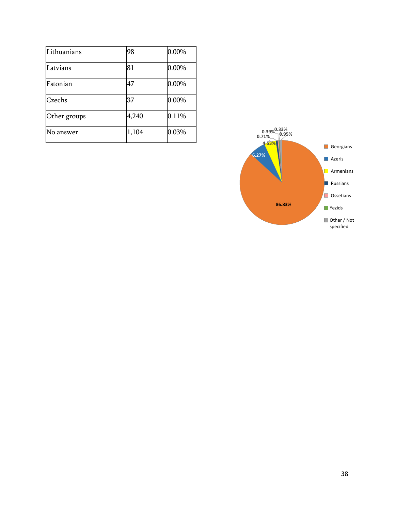| Lithuanians  | 98    | $0.00\%$  |
|--------------|-------|-----------|
| Latvians     | 81    | $0.00\%$  |
| Estonian     | 47    | $0.00\%$  |
| Czechs       | 37    | $ 0.00\%$ |
| Other groups | 4,240 | 0.11%     |
| No answer    | 1,104 | 0.03%     |

<span id="page-37-0"></span>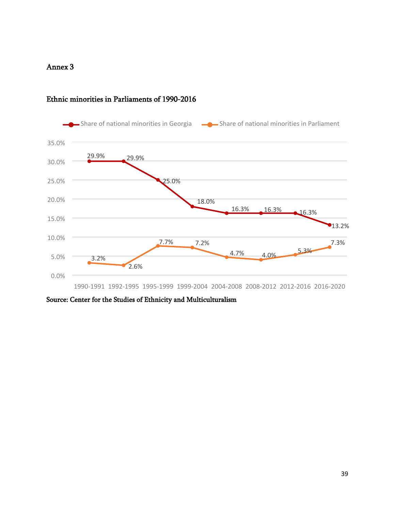### **Annex 3**



# **Ethnic minorities in Parliaments of 1990-2016**

**Source: Center for the Studies of Ethnicity and Multiculturalism**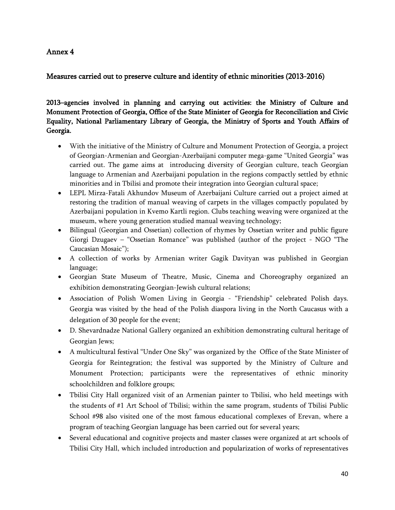# **Annex 4**

# <span id="page-39-0"></span>**Measures carried out to preserve culture and identity of ethnic minorities (2013-2016)**

**2013–agencies involved in planning and carrying out activities: the Ministry of Culture and Monument Protection of Georgia, Office of the State Minister of Georgia for Reconciliation and Civic Equality, National Parliamentary Library of Georgia, the Ministry of Sports and Youth Affairs of Georgia.**

- With the initiative of the Ministry of Culture and Monument Protection of Georgia, a project of Georgian-Armenian and Georgian-Azerbaijani computer mega-game "United Georgia" was carried out. The game aims at introducing diversity of Georgian culture, teach Georgian language to Armenian and Azerbaijani population in the regions compactly settled by ethnic minorities and in Tbilisi and promote their integration into Georgian cultural space;
- LEPL Mirza-Fatali Akhundov Museum of Azerbaijani Culture carried out a project aimed at restoring the tradition of manual weaving of carpets in the villages compactly populated by Azerbaijani population in Kvemo Kartli region. Clubs teaching weaving were organized at the museum, where young generation studied manual weaving technology;
- Bilingual (Georgian and Ossetian) collection of rhymes by Ossetian writer and public figure Giorgi Dzugaev – "Ossetian Romance" was published (author of the project - NGO "The Caucasian Mosaic");
- A collection of works by Armenian writer Gagik Davityan was published in Georgian language;
- Georgian State Museum of Theatre, Music, Cinema and Choreography organized an exhibition demonstrating Georgian-Jewish cultural relations;
- Association of Polish Women Living in Georgia "Friendship" celebrated Polish days. Georgia was visited by the head of the Polish diaspora living in the North Caucasus with a delegation of 30 people for the event;
- D. Shevardnadze National Gallery organized an exhibition demonstrating cultural heritage of Georgian Jews;
- A multicultural festival "Under One Sky" was organized by the Office of the State Minister of Georgia for Reintegration; the festival was supported by the Ministry of Culture and Monument Protection; participants were the representatives of ethnic minority schoolchildren and folklore groups;
- Tbilisi City Hall organized visit of an Armenian painter to Tbilisi, who held meetings with the students of #1 Art School of Tbilisi; within the same program, students of Tbilisi Public School #98 also visited one of the most famous educational complexes of Erevan, where a program of teaching Georgian language has been carried out for several years;
- Several educational and cognitive projects and master classes were organized at art schools of Tbilisi City Hall, which included introduction and popularization of works of representatives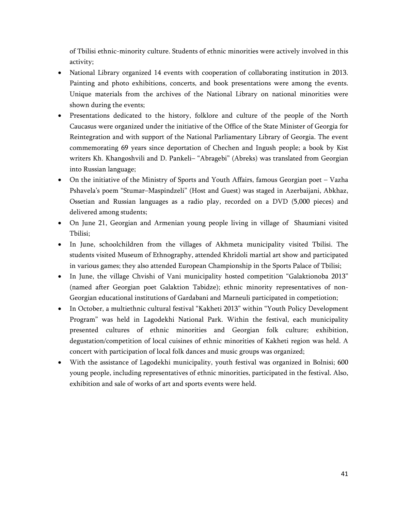of Tbilisi ethnic-minority culture. Students of ethnic minorities were actively involved in this activity;

- National Library organized 14 events with cooperation of collaborating institution in 2013. Painting and photo exhibitions, concerts, and book presentations were among the events. Unique materials from the archives of the National Library on national minorities were shown during the events;
- Presentations dedicated to the history, folklore and culture of the people of the North Caucasus were organized under the initiative of the Office of the State Minister of Georgia for Reintegration and with support of the National Parliamentary Library of Georgia. The event commemorating 69 years since deportation of Chechen and Ingush people; a book by Kist writers Kh. Khangoshvili and D. Pankeli– "Abragebi" (Abreks) was translated from Georgian into Russian language;
- On the initiative of the Ministry of Sports and Youth Affairs, famous Georgian poet Vazha Pshavela's poem "Stumar–Maspindzeli" (Host and Guest) was staged in Azerbaijani, Abkhaz, Ossetian and Russian languages as a radio play, recorded on a DVD (5,000 pieces) and delivered among students;
- On June 21, Georgian and Armenian young people living in village of Shaumiani visited Tbilisi;
- In June, schoolchildren from the villages of Akhmeta municipality visited Tbilisi. The students visited Museum of Ethnography, attended Khridoli martial art show and participated in various games; they also attended European Championship in the Sports Palace of Tbilisi;
- In June, the village Chvishi of Vani municipality hosted competition "Galaktionoba 2013" (named after Georgian poet Galaktion Tabidze); ethnic minority representatives of non-Georgian educational institutions of Gardabani and Marneuli participated in competiotion;
- In October, a multiethnic cultural festival "Kakheti 2013" within "Youth Policy Development Program" was held in Lagodekhi National Park. Within the festival, each municipality presented cultures of ethnic minorities and Georgian folk culture; exhibition, degustation/competition of local cuisines of ethnic minorities of Kakheti region was held. A concert with participation of local folk dances and music groups was organized;
- With the assistance of Lagodekhi municipality, youth festival was organized in Bolnisi; 600 young people, including representatives of ethnic minorities, participated in the festival. Also, exhibition and sale of works of art and sports events were held.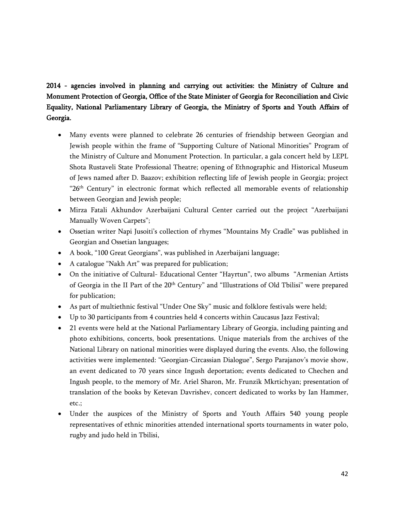**2014 - agencies involved in planning and carrying out activities: the Ministry of Culture and Monument Protection of Georgia, Office of the State Minister of Georgia for Reconciliation and Civic Equality, National Parliamentary Library of Georgia, the Ministry of Sports and Youth Affairs of Georgia.**

- Many events were planned to celebrate 26 centuries of friendship between Georgian and Jewish people within the frame of "Supporting Culture of National Minorities" Program of the Ministry of Culture and Monument Protection. In particular, a gala concert held by LEPL Shota Rustaveli State Professional Theatre; opening of Ethnographic and Historical Museum of Jews named after D. Baazov; exhibition reflecting life of Jewish people in Georgia; project "26th Century" in electronic format which reflected all memorable events of relationship between Georgian and Jewish people;
- Mirza Fatali Akhundov Azerbaijani Cultural Center carried out the project "Azerbaijani Manually Woven Carpets";
- Ossetian writer Napi Jusoiti's collection of rhymes "Mountains My Cradle" was published in Georgian and Ossetian languages;
- A book, "100 Great Georgians", was published in Azerbaijani language;
- A catalogue "Nakh Art" was prepared for publication;
- On the initiative of Cultural- Educational Center "Hayrtun", two albums "Armenian Artists of Georgia in the II Part of the 20<sup>th</sup> Century" and "Illustrations of Old Tbilisi" were prepared for publication;
- As part of multiethnic festival "Under One Sky" music and folklore festivals were held;
- Up to 30 participants from 4 countries held 4 concerts within Caucasus Jazz Festival;
- 21 events were held at the National Parliamentary Library of Georgia, including painting and photo exhibitions, concerts, book presentations. Unique materials from the archives of the National Library on national minorities were displayed during the events. Also, the following activities were implemented: "Georgian-Circassian Dialogue", Sergo Parajanov's movie show, an event dedicated to 70 years since Ingush deportation; events dedicated to Chechen and Ingush people, to the memory of Mr. Ariel Sharon, Mr. Frunzik Mkrtichyan; presentation of translation of the books by Ketevan Davrishev, concert dedicated to works by Ian Hammer, etc.;
- Under the auspices of the Ministry of Sports and Youth Affairs 540 young people representatives of ethnic minorities attended international sports tournaments in water polo, rugby and judo held in Tbilisi,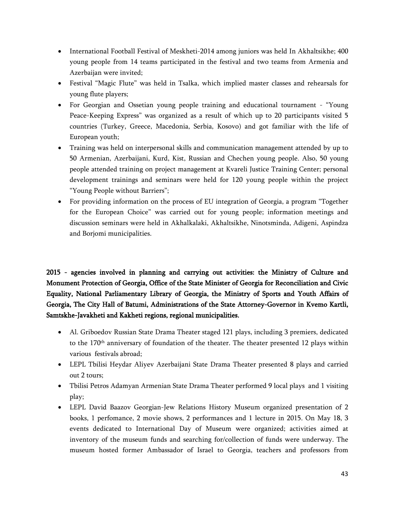- International Football Festival of Meskheti-2014 among juniors was held In Akhaltsikhe; 400 young people from 14 teams participated in the festival and two teams from Armenia and Azerbaijan were invited;
- Festival "Magic Flute" was held in Tsalka, which implied master classes and rehearsals for young flute players;
- For Georgian and Ossetian young people training and educational tournament "Young Peace-Keeping Express" was organized as a result of which up to 20 participants visited 5 countries (Turkey, Greece, Macedonia, Serbia, Kosovo) and got familiar with the life of European youth;
- Training was held on interpersonal skills and communication management attended by up to 50 Armenian, Azerbaijani, Kurd, Kist, Russian and Chechen young people. Also, 50 young people attended training on project management at Kvareli Justice Training Center; personal development trainings and seminars were held for 120 young people within the project "Young People without Barriers";
- For providing information on the process of EU integration of Georgia, a program "Together for the European Choice" was carried out for young people; information meetings and discussion seminars were held in Akhalkalaki, Akhaltsikhe, Ninotsminda, Adigeni, Aspindza and Borjomi municipalities.

**2015 - agencies involved in planning and carrying out activities: the Ministry of Culture and Monument Protection of Georgia, Office of the State Minister of Georgia for Reconciliation and Civic Equality, National Parliamentary Library of Georgia, the Ministry of Sports and Youth Affairs of Georgia, The City Hall of Batumi, Administrations of the State Attorney-Governor in Kvemo Kartli, Samtskhe-Javakheti and Kakheti regions, regional municipalities.**

- Al. Griboedov Russian State Drama Theater staged 121 plays, including 3 premiers, dedicated to the 170<sup>th</sup> anniversary of foundation of the theater. The theater presented 12 plays within various festivals abroad;
- LEPL Tbilisi Heydar Aliyev Azerbaijani State Drama Theater presented 8 plays and carried out 2 tours;
- Tbilisi Petros Adamyan Armenian State Drama Theater performed 9 local plays and 1 visiting play;
- LEPL David Baazov Georgian-Jew Relations History Museum organized presentation of 2 books, 1 perfomance, 2 movie shows, 2 performances and 1 lecture in 2015. On May 18, 3 events dedicated to International Day of Museum were organized; activities aimed at inventory of the museum funds and searching for/collection of funds were underway. The museum hosted former Ambassador of Israel to Georgia, teachers and professors from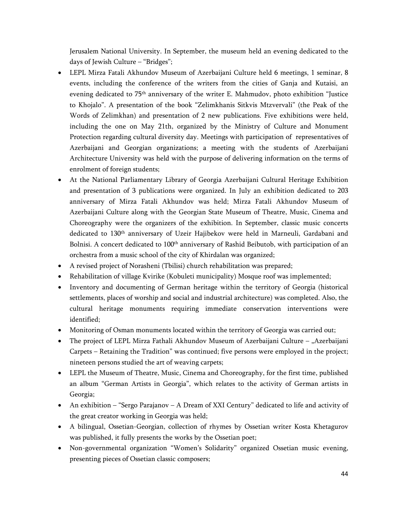Jerusalem National University. In September, the museum held an evening dedicated to the days of Jewish Culture – "Bridges";

- LEPL Mirza Fatali Akhundov Museum of Azerbaijani Culture held 6 meetings, 1 seminar, 8 events, including the conference of the writers from the cities of Ganja and Kutaisi, an evening dedicated to 75th anniversary of the writer E. Mahmudov, photo exhibition "Justice to Khojalo". A presentation of the book "Zelimkhanis Sitkvis Mtzvervali" (the Peak of the Words of Zelimkhan) and presentation of 2 new publications. Five exhibitions were held, including the one on May 21th, organized by the Ministry of Culture and Monument Protection regarding cultural diversity day. Meetings with participation of representatives of Azerbaijani and Georgian organizations; a meeting with the students of Azerbaijani Architecture University was held with the purpose of delivering information on the terms of enrolment of foreign students;
- At the National Parliamentary Library of Georgia Azerbaijani Cultural Heritage Exhibition and presentation of 3 publications were organized. In July an exhibition dedicated to 203 anniversary of Mirza Fatali Akhundov was held; Mirza Fatali Akhundov Museum of Azerbaijani Culture along with the Georgian State Museum of Theatre, Music, Cinema and Choreography were the organizers of the exhibition. In September, classic music concerts dedicated to 130<sup>th</sup> anniversary of Uzeir Hajibekov were held in Marneuli, Gardabani and Bolnisi. A concert dedicated to 100<sup>th</sup> anniversary of Rashid Beibutob, with participation of an orchestra from a music school of the city of Khirdalan was organized;
- A revised project of Norasheni (Tbilisi) church rehabilitation was prepared;
- Rehabilitation of village Kvirike (Kobuleti municipality) Mosque roof was implemented;
- Inventory and documenting of German heritage within the territory of Georgia (historical settlements, places of worship and social and industrial architecture) was completed. Also, the cultural heritage monuments requiring immediate conservation interventions were identified;
- Monitoring of Osman monuments located within the territory of Georgia was carried out;
- The project of LEPL Mirza Fathali Akhundov Museum of Azerbaijani Culture "Azerbaijani Carpets – Retaining the Tradition" was continued; five persons were employed in the project; nineteen persons studied the art of weaving carpets;
- LEPL the Museum of Theatre, Music, Cinema and Choreography, for the first time, published an album "German Artists in Georgia", which relates to the activity of German artists in Georgia;
- An exhibition "Sergo Parajanov A Dream of XXI Century" dedicated to life and activity of the great creator working in Georgia was held;
- A bilingual, Ossetian-Georgian, collection of rhymes by Ossetian writer Kosta Khetagurov was published, it fully presents the works by the Ossetian poet;
- Non-governmental organization "Women's Solidarity" organized Ossetian music evening, presenting pieces of Ossetian classic composers;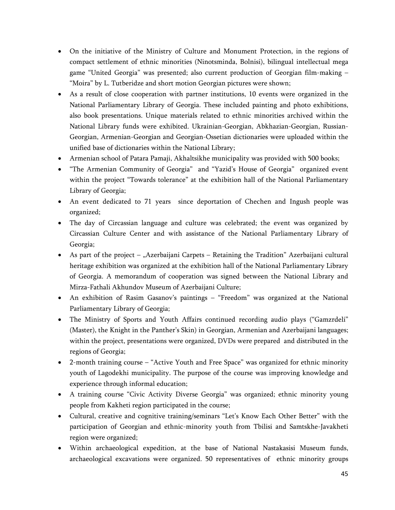- On the initiative of the Ministry of Culture and Monument Protection, in the regions of compact settlement of ethnic minorities (Ninotsminda, Bolnisi), bilingual intellectual mega game "United Georgia" was presented; also current production of Georgian film-making – "Moira" by L. Tutberidze and short motion Georgian pictures were shown;
- As a result of close cooperation with partner institutions, 10 events were organized in the National Parliamentary Library of Georgia. These included painting and photo exhibitions, also book presentations. Unique materials related to ethnic minorities archived within the National Library funds were exhibited. Ukrainian-Georgian, Abkhazian-Georgian, Russian-Georgian, Armenian-Georgian and Georgian-Ossetian dictionaries were uploaded within the unified base of dictionaries within the National Library;
- Armenian school of Patara Pamaji, Akhaltsikhe municipality was provided with 500 books;
- "The Armenian Community of Georgia" and "Yazid's House of Georgia" organized event within the project "Towards tolerance" at the exhibition hall of the National Parliamentary Library of Georgia;
- An event dedicated to 71 years since deportation of Chechen and Ingush people was organized;
- The day of Circassian language and culture was celebrated; the event was organized by Circassian Culture Center and with assistance of the National Parliamentary Library of Georgia;
- As part of the project  $-$  "Azerbaijani Carpets  $-$  Retaining the Tradition" Azerbaijani cultural heritage exhibition was organized at the exhibition hall of the National Parliamentary Library of Georgia. A memorandum of cooperation was signed between the National Library and Mirza-Fathali Akhundov Museum of Azerbaijani Culture;
- An exhibition of Rasim Gasanov's paintings "Freedom" was organized at the National Parliamentary Library of Georgia;
- The Ministry of Sports and Youth Affairs continued recording audio plays ("Gamzrdeli" (Master), the Knight in the Panther's Skin) in Georgian, Armenian and Azerbaijani languages; within the project, presentations were organized, DVDs were prepared and distributed in the regions of Georgia;
- 2-month training course "Active Youth and Free Space" was organized for ethnic minority youth of Lagodekhi municipality. The purpose of the course was improving knowledge and experience through informal education;
- A training course "Civic Activity Diverse Georgia" was organized; ethnic minority young people from Kakheti region participated in the course;
- Cultural, creative and cognitive training/seminars "Let's Know Each Other Better" with the participation of Georgian and ethnic-minority youth from Tbilisi and Samtskhe-Javakheti region were organized;
- Within archaeological expedition, at the base of National Nastakasisi Museum funds, archaeological excavations were organized. 50 representatives of ethnic minority groups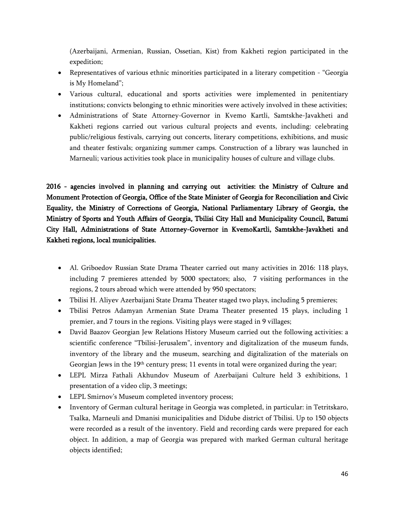(Azerbaijani, Armenian, Russian, Ossetian, Kist) from Kakheti region participated in the expedition;

- Representatives of various ethnic minorities participated in a literary competition "Georgia is My Homeland";
- Various cultural, educational and sports activities were implemented in penitentiary institutions; convicts belonging to ethnic minorities were actively involved in these activities;
- Administrations of State Attorney-Governor in Kvemo Kartli, Samtskhe-Javakheti and Kakheti regions carried out various cultural projects and events, including: celebrating public/religious festivals, carrying out concerts, literary competitions, exhibitions, and music and theater festivals; organizing summer camps. Construction of a library was launched in Marneuli; various activities took place in municipality houses of culture and village clubs.

**2016 - agencies involved in planning and carrying out activities: the Ministry of Culture and Monument Protection of Georgia, Office of the State Minister of Georgia for Reconciliation and Civic Equality, the Ministry of Corrections of Georgia, National Parliamentary Library of Georgia, the Ministry of Sports and Youth Affairs of Georgia, Tbilisi City Hall and Municipality Council, Batumi City Hall, Administrations of State Attorney-Governor in KvemoKartli, Samtskhe-Javakheti and Kakheti regions, local municipalities.**

- Al. Griboedov Russian State Drama Theater carried out many activities in 2016: 118 plays, including 7 premieres attended by 5000 spectators; also, 7 visiting performances in the regions, 2 tours abroad which were attended by 950 spectators;
- Tbilisi H. Aliyev Azerbaijani State Drama Theater staged two plays, including 5 premieres;
- Tbilisi Petros Adamyan Armenian State Drama Theater presented 15 plays, including 1 premier, and 7 tours in the regions. Visiting plays were staged in 9 villages;
- David Baazov Georgian Jew Relations History Museum carried out the following activities: a scientific conference "Tbilisi-Jerusalem", inventory and digitalization of the museum funds, inventory of the library and the museum, searching and digitalization of the materials on Georgian Jews in the  $19<sup>th</sup>$  century press; 11 events in total were organized during the year;
- LEPL Mirza Fathali Akhundov Museum of Azerbaijani Culture held 3 exhibitions, 1 presentation of a video clip, 3 meetings;
- LEPL Smirnov's Museum completed inventory process;
- Inventory of German cultural heritage in Georgia was completed, in particular: in Tetritskaro, Tsalka, Marneuli and Dmanisi municipalities and Didube district of Tbilisi. Up to 150 objects were recorded as a result of the inventory. Field and recording cards were prepared for each object. In addition, a map of Georgia was prepared with marked German cultural heritage objects identified;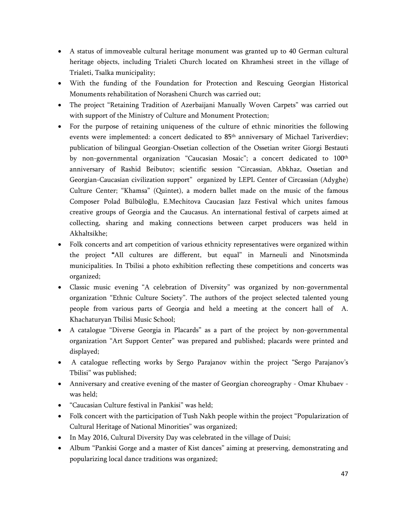- A status of immoveable cultural heritage monument was granted up to 40 German cultural heritage objects, including Trialeti Church located on Khramhesi street in the village of Trialeti, Tsalka municipality;
- With the funding of the Foundation for Protection and Rescuing Georgian Historical Monuments rehabilitation of Norasheni Church was carried out;
- The project "Retaining Tradition of Azerbaijani Manually Woven Carpets" was carried out with support of the Ministry of Culture and Monument Protection;
- For the purpose of retaining uniqueness of the culture of ethnic minorities the following events were implemented: a concert dedicated to 85<sup>th</sup> anniversary of Michael Tariverdiev; publication of bilingual Georgian-Ossetian collection of the Ossetian writer Giorgi Bestauti by non-governmental organization "Caucasian Mosaic"; a concert dedicated to 100<sup>th</sup> anniversary of Rashid Beibutov; scientific session "Circassian, Abkhaz, Ossetian and Georgian-Caucasian civilization support" organized by LEPL Center of Circassian (Adyghe) Culture Center; "Khamsa" (Quintet), a modern ballet made on the music of the famous Composer Polad Bülbüloğlu, E.Mechitova Caucasian Jazz Festival which unites famous creative groups of Georgia and the Caucasus. An international festival of carpets aimed at collecting, sharing and making connections between carpet producers was held in Akhaltsikhe;
- Folk concerts and art competition of various ethnicity representatives were organized within the project **"**All cultures are different, but equal" in Marneuli and Ninotsminda municipalities. In Tbilisi a photo exhibition reflecting these competitions and concerts was organized;
- Classic music evening "A celebration of Diversity" was organized by non-governmental organization "Ethnic Culture Society". The authors of the project selected talented young people from various parts of Georgia and held a meeting at the concert hall of A. Khachaturyan Tbilisi Music School;
- A catalogue "Diverse Georgia in Placards" as a part of the project by non-governmental organization "Art Support Center" was prepared and published; placards were printed and displayed;
- A catalogue reflecting works by Sergo Parajanov within the project "Sergo Parajanov's Tbilisi" was published;
- Anniversary and creative evening of the master of Georgian choreography Omar Khubaev was held;
- "Caucasian Culture festival in Pankisi" was held;
- Folk concert with the participation of Tush Nakh people within the project "Popularization of Cultural Heritage of National Minorities" was organized;
- In May 2016, Cultural Diversity Day was celebrated in the village of Duisi;
- Album "Pankisi Gorge and a master of Kist dances" aiming at preserving, demonstrating and popularizing local dance traditions was organized;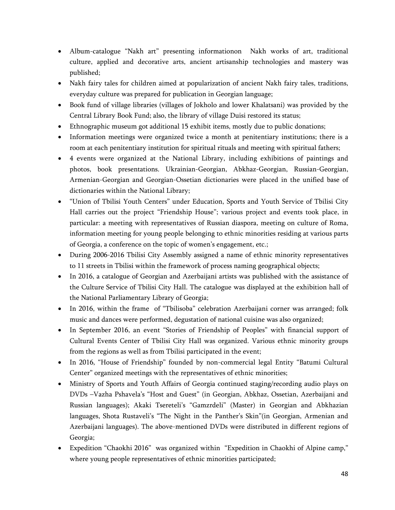- Album-catalogue "Nakh art" presenting informationon Nakh works of art, traditional culture, applied and decorative arts, ancient artisanship technologies and mastery was published;
- Nakh fairy tales for children aimed at popularization of ancient Nakh fairy tales, traditions, everyday culture was prepared for publication in Georgian language;
- Book fund of village libraries (villages of Jokholo and lower Khalatsani) was provided by the Central Library Book Fund; also, the library of village Duisi restored its status;
- Ethnographic museum got additional 15 exhibit items, mostly due to public donations;
- Information meetings were organized twice a month at penitentiary institutions; there is a room at each penitentiary institution for spiritual rituals and meeting with spiritual fathers;
- 4 events were organized at the National Library, including exhibitions of paintings and photos, book presentations. Ukrainian-Georgian, Abkhaz-Georgian, Russian-Georgian, Armenian-Georgian and Georgian-Ossetian dictionaries were placed in the unified base of dictionaries within the National Library;
- "Union of Tbilisi Youth Centers" under Education, Sports and Youth Service of Tbilisi City Hall carries out the project "Friendship House"; various project and events took place, in particular: a meeting with representatives of Russian diaspora, meeting on culture of Roma, information meeting for young people belonging to ethnic minorities residing at various parts of Georgia, a conference on the topic of women's engagement, etc.;
- During 2006-2016 Tbilisi City Assembly assigned a name of ethnic minority representatives to 11 streets in Tbilisi within the framework of process naming geographical objects;
- In 2016, a catalogue of Georgian and Azerbaijani artists was published with the assistance of the Culture Service of Tbilisi City Hall. The catalogue was displayed at the exhibition hall of the National Parliamentary Library of Georgia;
- In 2016, within the frame of "Tbilisoba" celebration Azerbaijani corner was arranged; folk music and dances were performed, degustation of national cuisine was also organized;
- In September 2016, an event "Stories of Friendship of Peoples" with financial support of Cultural Events Center of Tbilisi City Hall was organized. Various ethnic minority groups from the regions as well as from Tbilisi participated in the event;
- In 2016, "House of Friendship" founded by non-commercial legal Entity "Batumi Cultural Center" organized meetings with the representatives of ethnic minorities;
- Ministry of Sports and Youth Affairs of Georgia continued staging/recording audio plays on DVDs –Vazha Pshavela's "Host and Guest" (in Georgian, Abkhaz, Ossetian, Azerbaijani and Russian languages); Akaki Tsereteli's "Gamzrdeli" (Master) in Georgian and Abkhazian languages, Shota Rustaveli's "The Night in the Panther's Skin"(in Georgian, Armenian and Azerbaijani languages). The above-mentioned DVDs were distributed in different regions of Georgia;
- Expedition "Chaokhi 2016" was organized within "Expedition in Chaokhi of Alpine camp," where young people representatives of ethnic minorities participated;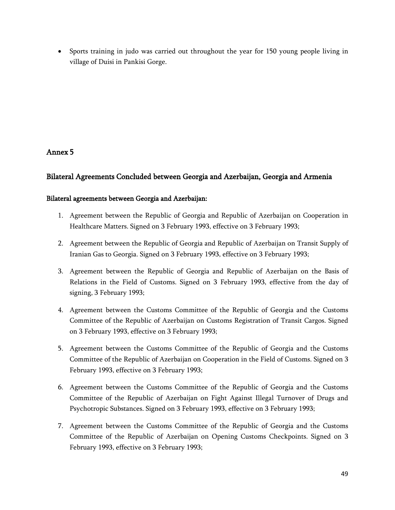Sports training in judo was carried out throughout the year for 150 young people living in village of Duisi in Pankisi Gorge.

# **Annex 5**

# <span id="page-48-0"></span>**Bilateral Agreements Concluded between Georgia and Azerbaijan, Georgia and Armenia**

# **Bilateral agreements between Georgia and Azerbaijan:**

- 1. Agreement between the Republic of Georgia and Republic of Azerbaijan on Cooperation in Healthcare Matters. Signed on 3 February 1993, effective on 3 February 1993;
- 2. Agreement between the Republic of Georgia and Republic of Azerbaijan on Transit Supply of Iranian Gas to Georgia. Signed on 3 February 1993, effective on 3 February 1993;
- 3. Agreement between the Republic of Georgia and Republic of Azerbaijan on the Basis of Relations in the Field of Customs. Signed on 3 February 1993, effective from the day of signing, 3 February 1993;
- 4. Agreement between the Customs Committee of the Republic of Georgia and the Customs Committee of the Republic of Azerbaijan on Customs Registration of Transit Cargos. Signed on 3 February 1993, effective on 3 February 1993;
- 5. Agreement between the Customs Committee of the Republic of Georgia and the Customs Committee of the Republic of Azerbaijan on Cooperation in the Field of Customs. Signed on 3 February 1993, effective on 3 February 1993;
- 6. Agreement between the Customs Committee of the Republic of Georgia and the Customs Committee of the Republic of Azerbaijan on Fight Against Illegal Turnover of Drugs and Psychotropic Substances. Signed on 3 February 1993, effective on 3 February 1993;
- 7. Agreement between the Customs Committee of the Republic of Georgia and the Customs Committee of the Republic of Azerbaijan on Opening Customs Checkpoints. Signed on 3 February 1993, effective on 3 February 1993;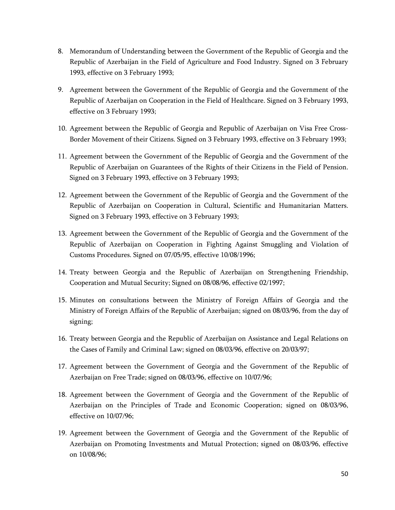- 8. Memorandum of Understanding between the Government of the Republic of Georgia and the Republic of Azerbaijan in the Field of Agriculture and Food Industry. Signed on 3 February 1993, effective on 3 February 1993;
- 9. Agreement between the Government of the Republic of Georgia and the Government of the Republic of Azerbaijan on Cooperation in the Field of Healthcare. Signed on 3 February 1993, effective on 3 February 1993;
- 10. Agreement between the Republic of Georgia and Republic of Azerbaijan on Visa Free Cross-Border Movement of their Citizens. Signed on 3 February 1993, effective on 3 February 1993;
- 11. Agreement between the Government of the Republic of Georgia and the Government of the Republic of Azerbaijan on Guarantees of the Rights of their Citizens in the Field of Pension. Signed on 3 February 1993, effective on 3 February 1993;
- 12. Agreement between the Government of the Republic of Georgia and the Government of the Republic of Azerbaijan on Cooperation in Cultural, Scientific and Humanitarian Matters. Signed on 3 February 1993, effective on 3 February 1993;
- 13. Agreement between the Government of the Republic of Georgia and the Government of the Republic of Azerbaijan on Cooperation in Fighting Against Smuggling and Violation of Customs Procedures. Signed on 07/05/95, effective 10/08/1996;
- 14. Treaty between Georgia and the Republic of Azerbaijan on Strengthening Friendship, Cooperation and Mutual Security; Signed on 08/08/96, effective 02/1997;
- 15. Minutes on consultations between the Ministry of Foreign Affairs of Georgia and the Ministry of Foreign Affairs of the Republic of Azerbaijan; signed on 08/03/96, from the day of signing;
- 16. Treaty between Georgia and the Republic of Azerbaijan on Assistance and Legal Relations on the Cases of Family and Criminal Law; signed on 08/03/96, effective on 20/03/97;
- 17. Agreement between the Government of Georgia and the Government of the Republic of Azerbaijan on Free Trade; signed on 08/03/96, effective on 10/07/96;
- 18. Agreement between the Government of Georgia and the Government of the Republic of Azerbaijan on the Principles of Trade and Economic Cooperation; signed on 08/03/96, effective on 10/07/96;
- 19. Agreement between the Government of Georgia and the Government of the Republic of Azerbaijan on Promoting Investments and Mutual Protection; signed on 08/03/96, effective on 10/08/96;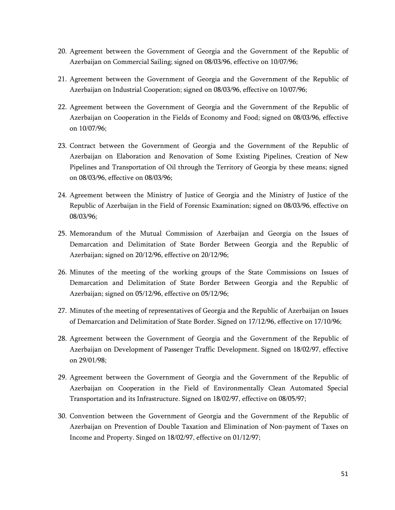- 20. Agreement between the Government of Georgia and the Government of the Republic of Azerbaijan on Commercial Sailing; signed on 08/03/96, effective on 10/07/96;
- 21. Agreement between the Government of Georgia and the Government of the Republic of Azerbaijan on Industrial Cooperation; signed on 08/03/96, effective on 10/07/96;
- 22. Agreement between the Government of Georgia and the Government of the Republic of Azerbaijan on Cooperation in the Fields of Economy and Food; signed on 08/03/96, effective on 10/07/96;
- 23. Contract between the Government of Georgia and the Government of the Republic of Azerbaijan on Elaboration and Renovation of Some Existing Pipelines, Creation of New Pipelines and Transportation of Oil through the Territory of Georgia by these means; signed on 08/03/96, effective on 08/03/96;
- 24. Agreement between the Ministry of Justice of Georgia and the Ministry of Justice of the Republic of Azerbaijan in the Field of Forensic Examination; signed on 08/03/96, effective on 08/03/96;
- 25. Memorandum of the Mutual Commission of Azerbaijan and Georgia on the Issues of Demarcation and Delimitation of State Border Between Georgia and the Republic of Azerbaijan; signed on 20/12/96, effective on 20/12/96;
- 26. Minutes of the meeting of the working groups of the State Commissions on Issues of Demarcation and Delimitation of State Border Between Georgia and the Republic of Azerbaijan; signed on 05/12/96, effective on 05/12/96;
- 27. Minutes of the meeting of representatives of Georgia and the Republic of Azerbaijan on Issues of Demarcation and Delimitation of State Border. Signed on 17/12/96, effective on 17/10/96;
- 28. Agreement between the Government of Georgia and the Government of the Republic of Azerbaijan on Development of Passenger Traffic Development. Signed on 18/02/97, effective on 29/01/98;
- 29. Agreement between the Government of Georgia and the Government of the Republic of Azerbaijan on Cooperation in the Field of Environmentally Clean Automated Special Transportation and its Infrastructure. Signed on 18/02/97, effective on 08/05/97;
- 30. Convention between the Government of Georgia and the Government of the Republic of Azerbaijan on Prevention of Double Taxation and Elimination of Non-payment of Taxes on Income and Property. Singed on 18/02/97, effective on 01/12/97;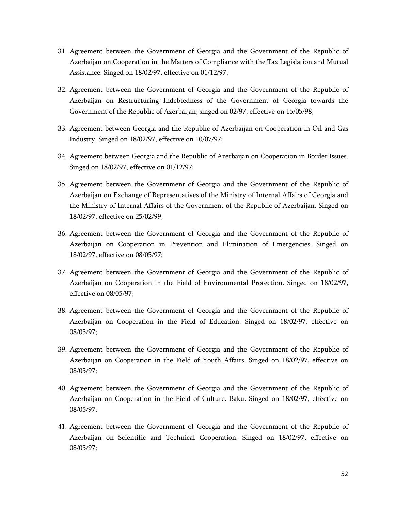- 31. Agreement between the Government of Georgia and the Government of the Republic of Azerbaijan on Cooperation in the Matters of Compliance with the Tax Legislation and Mutual Assistance. Singed on 18/02/97, effective on 01/12/97;
- 32. Agreement between the Government of Georgia and the Government of the Republic of Azerbaijan on Restructuring Indebtedness of the Government of Georgia towards the Government of the Republic of Azerbaijan; singed on 02/97, effective on 15/05/98;
- 33. Agreement between Georgia and the Republic of Azerbaijan on Cooperation in Oil and Gas Industry. Singed on 18/02/97, effective on 10/07/97;
- 34. Agreement between Georgia and the Republic of Azerbaijan on Cooperation in Border Issues. Singed on 18/02/97, effective on 01/12/97;
- 35. Agreement between the Government of Georgia and the Government of the Republic of Azerbaijan on Exchange of Representatives of the Ministry of Internal Affairs of Georgia and the Ministry of Internal Affairs of the Government of the Republic of Azerbaijan. Singed on 18/02/97, effective on 25/02/99;
- 36. Agreement between the Government of Georgia and the Government of the Republic of Azerbaijan on Cooperation in Prevention and Elimination of Emergencies. Singed on 18/02/97, effective on 08/05/97;
- 37. Agreement between the Government of Georgia and the Government of the Republic of Azerbaijan on Cooperation in the Field of Environmental Protection. Singed on 18/02/97, effective on 08/05/97;
- 38. Agreement between the Government of Georgia and the Government of the Republic of Azerbaijan on Cooperation in the Field of Education. Singed on 18/02/97, effective on 08/05/97;
- 39. Agreement between the Government of Georgia and the Government of the Republic of Azerbaijan on Cooperation in the Field of Youth Affairs. Singed on 18/02/97, effective on 08/05/97;
- 40. Agreement between the Government of Georgia and the Government of the Republic of Azerbaijan on Cooperation in the Field of Culture. Baku. Singed on 18/02/97, effective on 08/05/97;
- 41. Agreement between the Government of Georgia and the Government of the Republic of Azerbaijan on Scientific and Technical Cooperation. Singed on 18/02/97, effective on 08/05/97;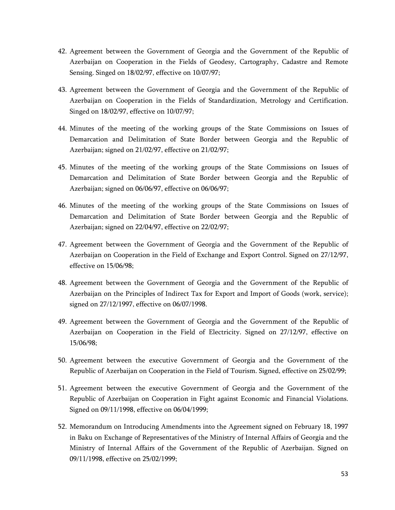- 42. Agreement between the Government of Georgia and the Government of the Republic of Azerbaijan on Cooperation in the Fields of Geodesy, Cartography, Cadastre and Remote Sensing. Singed on 18/02/97, effective on 10/07/97;
- 43. Agreement between the Government of Georgia and the Government of the Republic of Azerbaijan on Cooperation in the Fields of Standardization, Metrology and Certification. Singed on 18/02/97, effective on 10/07/97;
- 44. Minutes of the meeting of the working groups of the State Commissions on Issues of Demarcation and Delimitation of State Border between Georgia and the Republic of Azerbaijan; signed on 21/02/97, effective on 21/02/97;
- 45. Minutes of the meeting of the working groups of the State Commissions on Issues of Demarcation and Delimitation of State Border between Georgia and the Republic of Azerbaijan; signed on 06/06/97, effective on 06/06/97;
- 46. Minutes of the meeting of the working groups of the State Commissions on Issues of Demarcation and Delimitation of State Border between Georgia and the Republic of Azerbaijan; signed on 22/04/97, effective on 22/02/97;
- 47. Agreement between the Government of Georgia and the Government of the Republic of Azerbaijan on Cooperation in the Field of Exchange and Export Control. Signed on 27/12/97, effective on 15/06/98;
- 48. Agreement between the Government of Georgia and the Government of the Republic of Azerbaijan on the Principles of Indirect Tax for Export and Import of Goods (work, service); signed on 27/12/1997, effective on 06/07/1998.
- 49. Agreement between the Government of Georgia and the Government of the Republic of Azerbaijan on Cooperation in the Field of Electricity. Signed on 27/12/97, effective on 15/06/98;
- 50. Agreement between the executive Government of Georgia and the Government of the Republic of Azerbaijan on Cooperation in the Field of Tourism. Signed, effective on 25/02/99;
- 51. Agreement between the executive Government of Georgia and the Government of the Republic of Azerbaijan on Cooperation in Fight against Economic and Financial Violations. Signed on 09/11/1998, effective on 06/04/1999;
- 52. Memorandum on Introducing Amendments into the Agreement signed on February 18, 1997 in Baku on Exchange of Representatives of the Ministry of Internal Affairs of Georgia and the Ministry of Internal Affairs of the Government of the Republic of Azerbaijan. Signed on 09/11/1998, effective on 25/02/1999;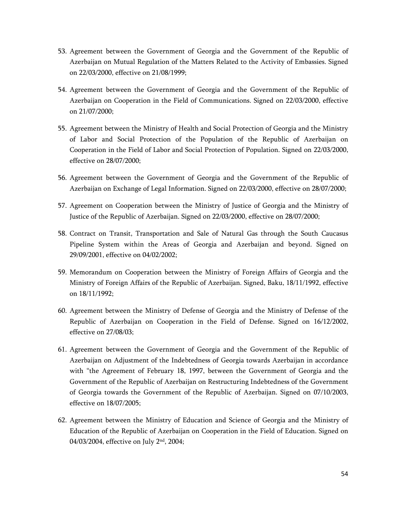- 53. Agreement between the Government of Georgia and the Government of the Republic of Azerbaijan on Mutual Regulation of the Matters Related to the Activity of Embassies. Signed on 22/03/2000, effective on 21/08/1999;
- 54. Agreement between the Government of Georgia and the Government of the Republic of Azerbaijan on Cooperation in the Field of Communications. Signed on 22/03/2000, effective on 21/07/2000;
- 55. Agreement between the Ministry of Health and Social Protection of Georgia and the Ministry of Labor and Social Protection of the Population of the Republic of Azerbaijan on Cooperation in the Field of Labor and Social Protection of Population. Signed on 22/03/2000, effective on 28/07/2000;
- 56. Agreement between the Government of Georgia and the Government of the Republic of Azerbaijan on Exchange of Legal Information. Signed on 22/03/2000, effective on 28/07/2000;
- 57. Agreement on Cooperation between the Ministry of Justice of Georgia and the Ministry of Justice of the Republic of Azerbaijan. Signed on 22/03/2000, effective on 28/07/2000;
- 58. Contract on Transit, Transportation and Sale of Natural Gas through the South Caucasus Pipeline System within the Areas of Georgia and Azerbaijan and beyond. Signed on 29/09/2001, effective on 04/02/2002;
- 59. Memorandum on Cooperation between the Ministry of Foreign Affairs of Georgia and the Ministry of Foreign Affairs of the Republic of Azerbaijan. Signed, Baku, 18/11/1992, effective on 18/11/1992;
- 60. Agreement between the Ministry of Defense of Georgia and the Ministry of Defense of the Republic of Azerbaijan on Cooperation in the Field of Defense. Signed on 16/12/2002, effective on 27/08/03;
- 61. Agreement between the Government of Georgia and the Government of the Republic of Azerbaijan on Adjustment of the Indebtedness of Georgia towards Azerbaijan in accordance with "the Agreement of February 18, 1997, between the Government of Georgia and the Government of the Republic of Azerbaijan on Restructuring Indebtedness of the Government of Georgia towards the Government of the Republic of Azerbaijan. Signed on 07/10/2003, effective on 18/07/2005;
- 62. Agreement between the Ministry of Education and Science of Georgia and the Ministry of Education of the Republic of Azerbaijan on Cooperation in the Field of Education. Signed on 04/03/2004, effective on July 2nd, 2004;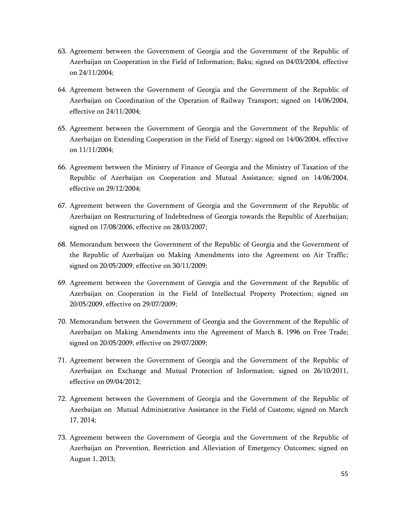- 63. Agreement between the Government of Georgia and the Government of the Republic of Azerbaijan on Cooperation in the Field of Information; Baku; signed on 04/03/2004, effective on 24/11/2004;
- 64. Agreement between the Government of Georgia and the Government of the Republic of Azerbaijan on Coordination of the Operation of Railway Transport; signed on 14/06/2004, effective on 24/11/2004;
- 65. Agreement between the Government of Georgia and the Government of the Republic of Azerbaijan on Extending Cooperation in the Field of Energy; signed on 14/06/2004, effective on 11/11/2004;
- 66. Agreement between the Ministry of Finance of Georgia and the Ministry of Taxation of the Republic of Azerbaijan on Cooperation and Mutual Assistance; signed on 14/06/2004, effective on 29/12/2004;
- 67. Agreement between the Government of Georgia and the Government of the Republic of Azerbaijan on Restructuring of Indebtedness of Georgia towards the Republic of Azerbaijan; signed on 17/08/2006, effective on 28/03/2007;
- 68. Memorandum between the Government of the Republic of Georgia and the Government of the Republic of Azerbaijan on Making Amendments into the Agreement on Air Traffic; signed on 20/05/2009, effective on 30/11/2009;
- 69. Agreement between the Government of Georgia and the Government of the Republic of Azerbaijan on Cooperation in the Field of Intellectual Property Protection; signed on 20/05/2009, effective on 29/07/2009;
- 70. Memorandum between the Government of Georgia and the Government of the Republic of Azerbaijan on Making Amendments into the Agreement of March 8, 1996 on Free Trade; signed on 20/05/2009, effective on 29/07/2009;
- 71. Agreement between the Government of Georgia and the Government of the Republic of Azerbaijan on Exchange and Mutual Protection of Information; signed on 26/10/2011, effective on 09/04/2012;
- 72. Agreement between the Government of Georgia and the Government of the Republic of Azerbaijan on Mutual Administrative Assistance in the Field of Customs; signed on March 17, 2014;
- 73. Agreement between the Government of Georgia and the Government of the Republic of Azerbaijan on Prevention, Restriction and Alleviation of Emergency Outcomes; signed on August 1, 2013;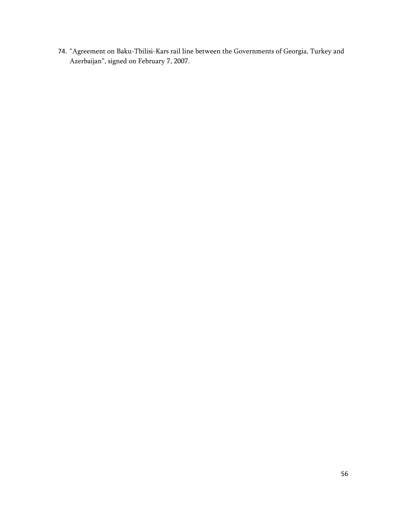74. "Agreement on Baku-Tbilisi-Kars rail line between the Governments of Georgia, Turkey and Azerbaijan", signed on February 7, 2007.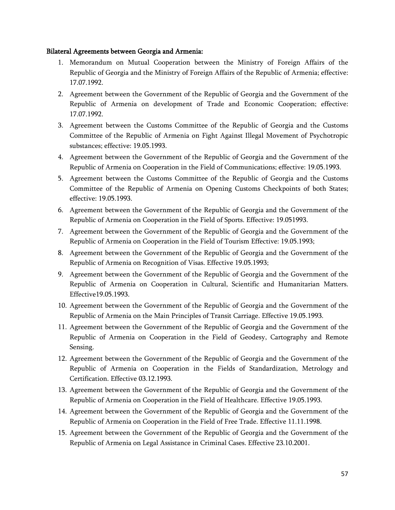#### **Bilateral Agreements between Georgia and Armenia:**

- 1. Memorandum on Mutual Cooperation between the Ministry of Foreign Affairs of the Republic of Georgia and the Ministry of Foreign Affairs of the Republic of Armenia; effective: 17.07.1992.
- 2. Agreement between the Government of the Republic of Georgia and the Government of the Republic of Armenia on development of Trade and Economic Cooperation; effective: 17.07.1992.
- 3. Agreement between the Customs Committee of the Republic of Georgia and the Customs Committee of the Republic of Armenia on Fight Against Illegal Movement of Psychotropic substances; effective: 19.05.1993.
- 4. Agreement between the Government of the Republic of Georgia and the Government of the Republic of Armenia on Cooperation in the Field of Communications; effective: 19.05.1993.
- 5. Agreement between the Customs Committee of the Republic of Georgia and the Customs Committee of the Republic of Armenia on Opening Customs Checkpoints of both States; effective: 19.05.1993.
- 6. Agreement between the Government of the Republic of Georgia and the Government of the Republic of Armenia on Cooperation in the Field of Sports. Effective: 19.051993.
- 7. Agreement between the Government of the Republic of Georgia and the Government of the Republic of Armenia on Cooperation in the Field of Tourism Effective: 19.05.1993;
- 8. Agreement between the Government of the Republic of Georgia and the Government of the Republic of Armenia on Recognition of Visas. Effective 19.05.1993;
- 9. Agreement between the Government of the Republic of Georgia and the Government of the Republic of Armenia on Cooperation in Cultural, Scientific and Humanitarian Matters. Effective19.05.1993.
- 10. Agreement between the Government of the Republic of Georgia and the Government of the Republic of Armenia on the Main Principles of Transit Carriage. Effective 19.05.1993.
- 11. Agreement between the Government of the Republic of Georgia and the Government of the Republic of Armenia on Cooperation in the Field of Geodesy, Cartography and Remote Sensing.
- 12. Agreement between the Government of the Republic of Georgia and the Government of the Republic of Armenia on Cooperation in the Fields of Standardization, Metrology and Certification. Effective 03.12.1993.
- 13. Agreement between the Government of the Republic of Georgia and the Government of the Republic of Armenia on Cooperation in the Field of Healthcare. Effective 19.05.1993.
- 14. Agreement between the Government of the Republic of Georgia and the Government of the Republic of Armenia on Cooperation in the Field of Free Trade. Effective 11.11.1998.
- 15. Agreement between the Government of the Republic of Georgia and the Government of the Republic of Armenia on Legal Assistance in Criminal Cases. Effective 23.10.2001.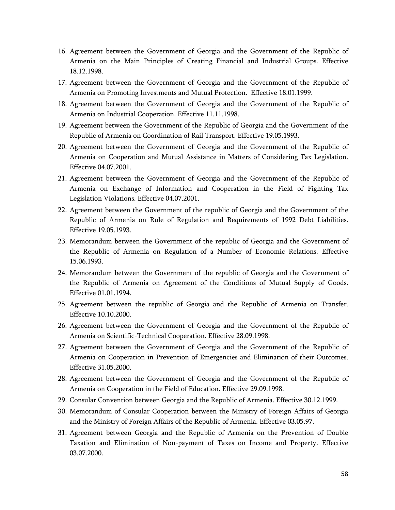- 16. Agreement between the Government of Georgia and the Government of the Republic of Armenia on the Main Principles of Creating Financial and Industrial Groups. Effective 18.12.1998.
- 17. Agreement between the Government of Georgia and the Government of the Republic of Armenia on Promoting Investments and Mutual Protection. Effective 18.01.1999.
- 18. Agreement between the Government of Georgia and the Government of the Republic of Armenia on Industrial Cooperation. Effective 11.11.1998.
- 19. Agreement between the Government of the Republic of Georgia and the Government of the Republic of Armenia on Coordination of Rail Transport. Effective 19.05.1993.
- 20. Agreement between the Government of Georgia and the Government of the Republic of Armenia on Cooperation and Mutual Assistance in Matters of Considering Tax Legislation. Effective 04.07.2001.
- 21. Agreement between the Government of Georgia and the Government of the Republic of Armenia on Exchange of Information and Cooperation in the Field of Fighting Tax Legislation Violations. Effective 04.07.2001.
- 22. Agreement between the Government of the republic of Georgia and the Government of the Republic of Armenia on Rule of Regulation and Requirements of 1992 Debt Liabilities. Effective 19.05.1993.
- 23. Memorandum between the Government of the republic of Georgia and the Government of the Republic of Armenia on Regulation of a Number of Economic Relations. Effective 15.06.1993.
- 24. Memorandum between the Government of the republic of Georgia and the Government of the Republic of Armenia on Agreement of the Conditions of Mutual Supply of Goods. Effective 01.01.1994.
- 25. Agreement between the republic of Georgia and the Republic of Armenia on Transfer. Effective 10.10.2000.
- 26. Agreement between the Government of Georgia and the Government of the Republic of Armenia on Scientific-Technical Cooperation. Effective 28.09.1998.
- 27. Agreement between the Government of Georgia and the Government of the Republic of Armenia on Cooperation in Prevention of Emergencies and Elimination of their Outcomes. Effective 31.05.2000.
- 28. Agreement between the Government of Georgia and the Government of the Republic of Armenia on Cooperation in the Field of Education. Effective 29.09.1998.
- 29. Consular Convention between Georgia and the Republic of Armenia. Effective 30.12.1999.
- 30. Memorandum of Consular Cooperation between the Ministry of Foreign Affairs of Georgia and the Ministry of Foreign Affairs of the Republic of Armenia. Effective 03.05.97.
- 31. Agreement between Georgia and the Republic of Armenia on the Prevention of Double Taxation and Elimination of Non-payment of Taxes on Income and Property. Effective 03.07.2000.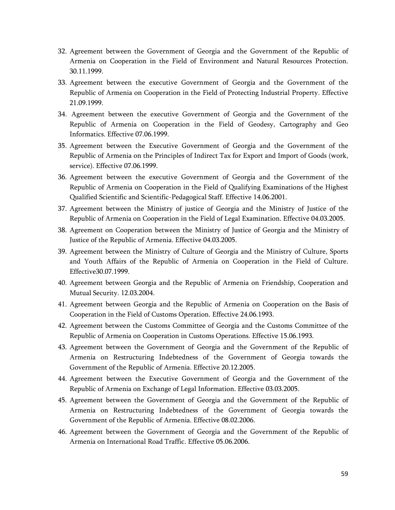- 32. Agreement between the Government of Georgia and the Government of the Republic of Armenia on Cooperation in the Field of Environment and Natural Resources Protection. 30.11.1999.
- 33. Agreement between the executive Government of Georgia and the Government of the Republic of Armenia on Cooperation in the Field of Protecting Industrial Property. Effective 21.09.1999.
- 34. Agreement between the executive Government of Georgia and the Government of the Republic of Armenia on Cooperation in the Field of Geodesy, Cartography and Geo Informatics. Effective 07.06.1999.
- 35. Agreement between the Executive Government of Georgia and the Government of the Republic of Armenia on the Principles of Indirect Tax for Export and Import of Goods (work, service). Effective 07.06.1999.
- 36. Agreement between the executive Government of Georgia and the Government of the Republic of Armenia on Cooperation in the Field of Qualifying Examinations of the Highest Qualified Scientific and Scientific-Pedagogical Staff. Effective 14.06.2001.
- 37. Agreement between the Ministry of justice of Georgia and the Ministry of Justice of the Republic of Armenia on Cooperation in the Field of Legal Examination. Effective 04.03.2005.
- 38. Agreement on Cooperation between the Ministry of Justice of Georgia and the Ministry of Justice of the Republic of Armenia. Effective 04.03.2005.
- 39. Agreement between the Ministry of Culture of Georgia and the Ministry of Culture, Sports and Youth Affairs of the Republic of Armenia on Cooperation in the Field of Culture. Effective30.07.1999.
- 40. Agreement between Georgia and the Republic of Armenia on Friendship, Cooperation and Mutual Security. 12.03.2004.
- 41. Agreement between Georgia and the Republic of Armenia on Cooperation on the Basis of Cooperation in the Field of Customs Operation. Effective 24.06.1993.
- 42. Agreement between the Customs Committee of Georgia and the Customs Committee of the Republic of Armenia on Cooperation in Customs Operations. Effective 15.06.1993.
- 43. Agreement between the Government of Georgia and the Government of the Republic of Armenia on Restructuring Indebtedness of the Government of Georgia towards the Government of the Republic of Armenia. Effective 20.12.2005.
- 44. Agreement between the Executive Government of Georgia and the Government of the Republic of Armenia on Exchange of Legal Information. Effective 03.03.2005.
- 45. Agreement between the Government of Georgia and the Government of the Republic of Armenia on Restructuring Indebtedness of the Government of Georgia towards the Government of the Republic of Armenia. Effective 08.02.2006.
- 46. Agreement between the Government of Georgia and the Government of the Republic of Armenia on International Road Traffic. Effective 05.06.2006.